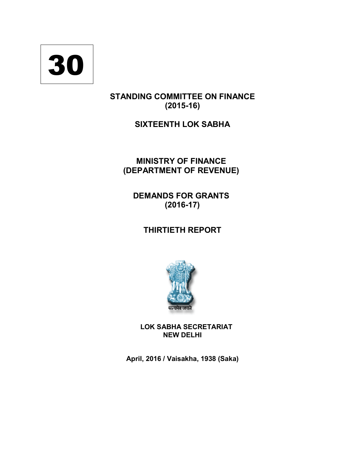

# **STANDING COMMITTEE ON FINANCE (2015-16)**

# **SIXTEENTH LOK SABHA**

# **MINISTRY OF FINANCE (DEPARTMENT OF REVENUE)**

**DEMANDS FOR GRANTS (2016-17)** 

**THIRTIETH REPORT**



**LOK SABHA SECRETARIAT NEW DELHI**

**April, 2016 / Vaisakha, 1938 (Saka)**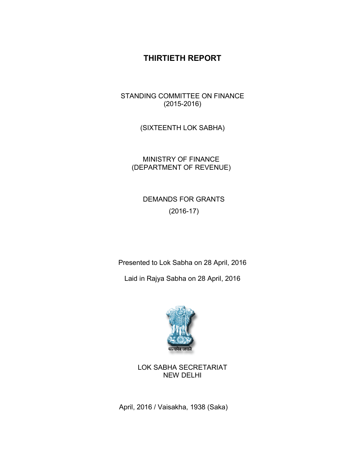# **THIRTIETH REPORT**

STANDING COMMITTEE ON FINANCE (2015-2016)

(SIXTEENTH LOK SABHA)

MINISTRY OF FINANCE (DEPARTMENT OF REVENUE)

> DEMANDS FOR GRANTS (2016-17)

Presented to Lok Sabha on 28 April, 2016

Laid in Rajya Sabha on 28 April, 2016



LOK SABHA SECRETARIAT NEW DELHI

April, 2016 / Vaisakha, 1938 (Saka)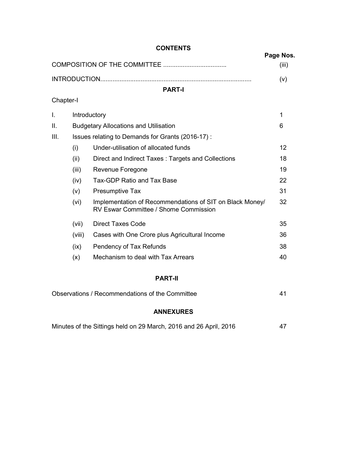|           |        | <b>UUNIENIS</b>                                                                                          | Page Nos. |
|-----------|--------|----------------------------------------------------------------------------------------------------------|-----------|
|           |        |                                                                                                          | (iii)     |
|           |        |                                                                                                          | (v)       |
|           |        | <b>PART-I</b>                                                                                            |           |
| Chapter-I |        |                                                                                                          |           |
| I.        |        | Introductory                                                                                             | 1         |
| ΙΙ.       |        | <b>Budgetary Allocations and Utilisation</b>                                                             | 6         |
| Ш.        |        | Issues relating to Demands for Grants (2016-17) :                                                        |           |
|           | (i)    | Under-utilisation of allocated funds                                                                     | 12        |
|           | (ii)   | Direct and Indirect Taxes: Targets and Collections                                                       | 18        |
|           | (iii)  | Revenue Foregone                                                                                         | 19        |
|           | (iv)   | <b>Tax-GDP Ratio and Tax Base</b>                                                                        | 22        |
|           | (v)    | Presumptive Tax                                                                                          | 31        |
|           | (vi)   | Implementation of Recommendations of SIT on Black Money/<br><b>RV Eswar Committee / Shome Commission</b> | 32        |
|           | (vii)  | <b>Direct Taxes Code</b>                                                                                 | 35        |
|           | (viii) | Cases with One Crore plus Agricultural Income                                                            | 36        |
|           | (ix)   | Pendency of Tax Refunds                                                                                  | 38        |
|           | (x)    | Mechanism to deal with Tax Arrears                                                                       | 40        |
|           |        |                                                                                                          |           |

## **PART-II**

| Observations / Recommendations of the Committee |  |
|-------------------------------------------------|--|
|                                                 |  |

## **ANNEXURES**

| Minutes of the Sittings held on 29 March, 2016 and 26 April, 2016 |  |
|-------------------------------------------------------------------|--|
|-------------------------------------------------------------------|--|

## **CONTENTS**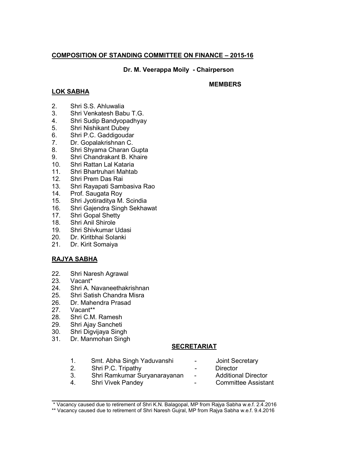### **COMPOSITION OF STANDING COMMITTEE ON FINANCE – 2015-16**

**Dr. M. Veerappa Moily - Chairperson**

### **LOK SABHA**

#### **MEMBERS**

- 2. Shri S.S. Ahluwalia
- 3. Shri Venkatesh Babu T.G.
- 4. Shri Sudip Bandyopadhyay
- 5. Shri Nishikant Dubey
- 6. Shri P.C. Gaddigoudar
- 7. Dr. Gopalakrishnan C.
- 8. Shri Shyama Charan Gupta
- 9. Shri Chandrakant B. Khaire
- 10. Shri Rattan Lal Kataria
- 11. Shri Bhartruhari Mahtab
- 12. Shri Prem Das Rai
- 13. Shri Rayapati Sambasiva Rao
- 14. Prof. Saugata Roy
- 15. Shri Jyotiraditya M. Scindia
- 16. Shri Gajendra Singh Sekhawat
- 17. Shri Gopal Shetty<br>18. Shri Anil Shirole
- Shri Anil Shirole
- 19. Shri Shivkumar Udasi<br>20 Dr. Kiritbhai Solanki
- Dr. Kiritbhai Solanki
- 21. Dr. Kirit Somaiya

### **RAJYA SABHA**

- 22. Shri Naresh Agrawal
- 23. Vacant\*
- 24. Shri A. Navaneethakrishnan
- 25. Shri Satish Chandra Misra
- 26. Dr. Mahendra Prasad<br>27. Vacant\*\*
- Vacant\*\*
- 28. Shri C.M. Ramesh
- 29. Shri Ajay Sancheti
- 30. Shri Digvijaya Singh
- 31. Dr. Manmohan Singh

#### **SECRETARIAT**

- 1. Smt. Abha Singh Yaduvanshi Joint Secretary 2. Shri P.C. Tripathy **- Director** 3. Shri Ramkumar Suryanarayanan - Additional Director 4. Shri Vivek Pandey **Committee Assistant**
- \_\_\_\_\_\_\_\_\_\_\_\_\_\_\_\_\_\_\_\_\_\_\_\_\_\_\_\_\_\_\_\_\_\_\_\_\_\_\_\_\_\_\_\_\_\_\_\_\_\_\_\_\_\_ \* Vacancy caused due to retirement of Shri K.N. Balagopal, MP from Rajya Sabha w.e.f. 2.4.2016
- \*\* Vacancy caused due to retirement of Shri Naresh Gujral, MP from Rajya Sabha w.e.f. 9.4.2016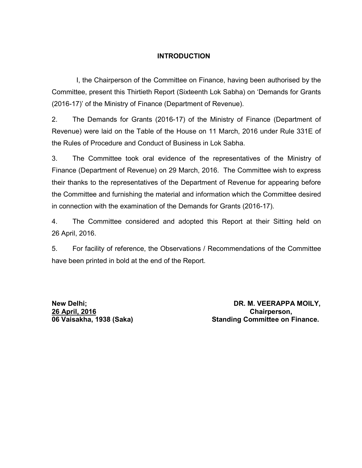## **INTRODUCTION**

 I, the Chairperson of the Committee on Finance, having been authorised by the Committee, present this Thirtieth Report (Sixteenth Lok Sabha) on 'Demands for Grants (2016-17)' of the Ministry of Finance (Department of Revenue).

2. The Demands for Grants (2016-17) of the Ministry of Finance (Department of Revenue) were laid on the Table of the House on 11 March, 2016 under Rule 331E of the Rules of Procedure and Conduct of Business in Lok Sabha.

3. The Committee took oral evidence of the representatives of the Ministry of Finance (Department of Revenue) on 29 March, 2016. The Committee wish to express their thanks to the representatives of the Department of Revenue for appearing before the Committee and furnishing the material and information which the Committee desired in connection with the examination of the Demands for Grants (2016-17).

4. The Committee considered and adopted this Report at their Sitting held on 26 April, 2016.

5. For facility of reference, the Observations / Recommendations of the Committee have been printed in bold at the end of the Report.

**26 April, 2016 Chairperson,**

**New Delhi; DR. M. VEERAPPA MOILY, 06 Vaisakha, 1938 (Saka) Standing Committee on Finance.**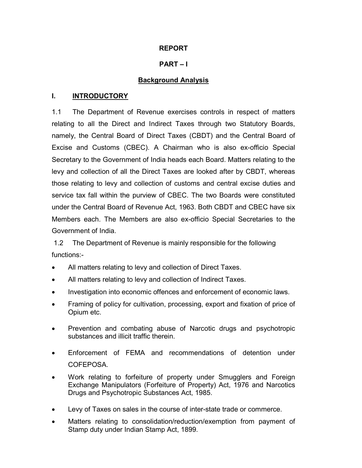### **REPORT**

## **PART – I**

## **Background Analysis**

### **I. INTRODUCTORY**

1.1 The Department of Revenue exercises controls in respect of matters relating to all the Direct and Indirect Taxes through two Statutory Boards, namely, the Central Board of Direct Taxes (CBDT) and the Central Board of Excise and Customs (CBEC). A Chairman who is also ex-officio Special Secretary to the Government of India heads each Board. Matters relating to the levy and collection of all the Direct Taxes are looked after by CBDT, whereas those relating to levy and collection of customs and central excise duties and service tax fall within the purview of CBEC. The two Boards were constituted under the Central Board of Revenue Act, 1963. Both CBDT and CBEC have six Members each. The Members are also ex-officio Special Secretaries to the Government of India.

1.2 The Department of Revenue is mainly responsible for the following functions:-

- All matters relating to levy and collection of Direct Taxes.
- All matters relating to levy and collection of Indirect Taxes.
- Investigation into economic offences and enforcement of economic laws.
- Framing of policy for cultivation, processing, export and fixation of price of Opium etc.
- Prevention and combating abuse of Narcotic drugs and psychotropic substances and illicit traffic therein.
- Enforcement of FEMA and recommendations of detention under COFEPOSA.
- Work relating to forfeiture of property under Smugglers and Foreign Exchange Manipulators (Forfeiture of Property) Act, 1976 and Narcotics Drugs and Psychotropic Substances Act, 1985.
- Levy of Taxes on sales in the course of inter-state trade or commerce.
- Matters relating to consolidation/reduction/exemption from payment of Stamp duty under Indian Stamp Act, 1899.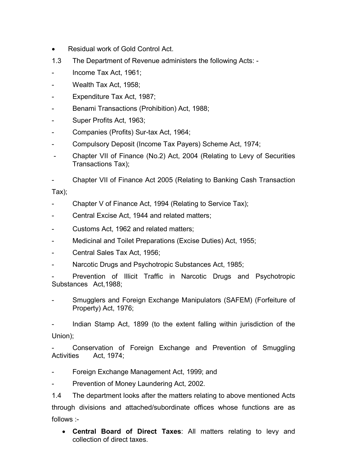- Residual work of Gold Control Act.
- 1.3 The Department of Revenue administers the following Acts: -
- Income Tax Act, 1961;
- Wealth Tax Act, 1958;
- Expenditure Tax Act, 1987;
- Benami Transactions (Prohibition) Act, 1988;
- Super Profits Act, 1963;
- Companies (Profits) Sur-tax Act, 1964;
- Compulsory Deposit (Income Tax Payers) Scheme Act, 1974;
- Chapter VII of Finance (No.2) Act, 2004 (Relating to Levy of Securities Transactions Tax);
- Chapter VII of Finance Act 2005 (Relating to Banking Cash Transaction

Tax);

- Chapter V of Finance Act, 1994 (Relating to Service Tax);
- Central Excise Act, 1944 and related matters;
- Customs Act, 1962 and related matters;
- Medicinal and Toilet Preparations (Excise Duties) Act, 1955;
- Central Sales Tax Act, 1956;
- Narcotic Drugs and Psychotropic Substances Act, 1985;

Prevention of Illicit Traffic in Narcotic Drugs and Psychotropic Substances Act,1988;

- Smugglers and Foreign Exchange Manipulators (SAFEM) (Forfeiture of Property) Act, 1976;

Indian Stamp Act, 1899 (to the extent falling within jurisdiction of the Union);

Conservation of Foreign Exchange and Prevention of Smuggling Activities Act, 1974;

- Foreign Exchange Management Act, 1999; and
- Prevention of Money Laundering Act, 2002.

1.4 The department looks after the matters relating to above mentioned Acts through divisions and attached/subordinate offices whose functions are as follows :-

 **Central Board of Direct Taxes**: All matters relating to levy and collection of direct taxes.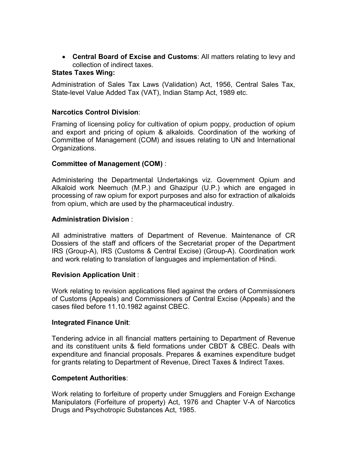**Central Board of Excise and Customs**: All matters relating to levy and collection of indirect taxes.

### **States Taxes Wing:**

Administration of Sales Tax Laws (Validation) Act, 1956, Central Sales Tax, State-level Value Added Tax (VAT), Indian Stamp Act, 1989 etc.

### **Narcotics Control Division**:

Framing of licensing policy for cultivation of opium poppy, production of opium and export and pricing of opium & alkaloids. Coordination of the working of Committee of Management (COM) and issues relating to UN and International Organizations.

### **Committee of Management (COM)** :

Administering the Departmental Undertakings viz. Government Opium and Alkaloid work Neemuch (M.P.) and Ghazipur (U.P.) which are engaged in processing of raw opium for export purposes and also for extraction of alkaloids from opium, which are used by the pharmaceutical industry.

### **Administration Division** :

All administrative matters of Department of Revenue. Maintenance of CR Dossiers of the staff and officers of the Secretariat proper of the Department IRS (Group-A), IRS (Customs & Central Excise) (Group-A). Coordination work and work relating to translation of languages and implementation of Hindi.

#### **Revision Application Unit** :

Work relating to revision applications filed against the orders of Commissioners of Customs (Appeals) and Commissioners of Central Excise (Appeals) and the cases filed before 11.10.1982 against CBEC.

#### **Integrated Finance Unit**:

Tendering advice in all financial matters pertaining to Department of Revenue and its constituent units & field formations under CBDT & CBEC. Deals with expenditure and financial proposals. Prepares & examines expenditure budget for grants relating to Department of Revenue, Direct Taxes & Indirect Taxes.

#### **Competent Authorities**:

Work relating to forfeiture of property under Smugglers and Foreign Exchange Manipulators (Forfeiture of property) Act, 1976 and Chapter V-A of Narcotics Drugs and Psychotropic Substances Act, 1985.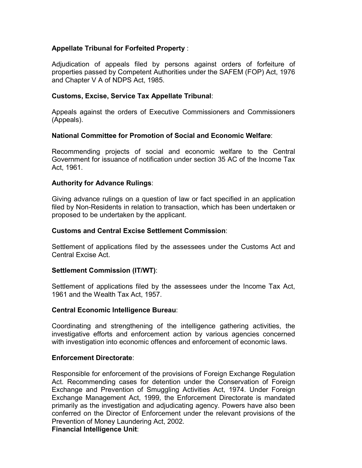### **Appellate Tribunal for Forfeited Property** :

Adjudication of appeals filed by persons against orders of forfeiture of properties passed by Competent Authorities under the SAFEM (FOP) Act, 1976 and Chapter V A of NDPS Act, 1985.

#### **Customs, Excise, Service Tax Appellate Tribunal**:

Appeals against the orders of Executive Commissioners and Commissioners (Appeals).

#### **National Committee for Promotion of Social and Economic Welfare**:

Recommending projects of social and economic welfare to the Central Government for issuance of notification under section 35 AC of the Income Tax Act, 1961.

#### **Authority for Advance Rulings**:

Giving advance rulings on a question of law or fact specified in an application filed by Non-Residents in relation to transaction, which has been undertaken or proposed to be undertaken by the applicant.

#### **Customs and Central Excise Settlement Commission**:

Settlement of applications filed by the assessees under the Customs Act and Central Excise Act.

#### **Settlement Commission (IT/WT)**:

Settlement of applications filed by the assessees under the Income Tax Act, 1961 and the Wealth Tax Act, 1957.

#### **Central Economic Intelligence Bureau**:

Coordinating and strengthening of the intelligence gathering activities, the investigative efforts and enforcement action by various agencies concerned with investigation into economic offences and enforcement of economic laws.

#### **Enforcement Directorate**:

Responsible for enforcement of the provisions of Foreign Exchange Regulation Act. Recommending cases for detention under the Conservation of Foreign Exchange and Prevention of Smuggling Activities Act, 1974. Under Foreign Exchange Management Act, 1999, the Enforcement Directorate is mandated primarily as the investigation and adjudicating agency. Powers have also been conferred on the Director of Enforcement under the relevant provisions of the Prevention of Money Laundering Act, 2002.

### **Financial Intelligence Unit**: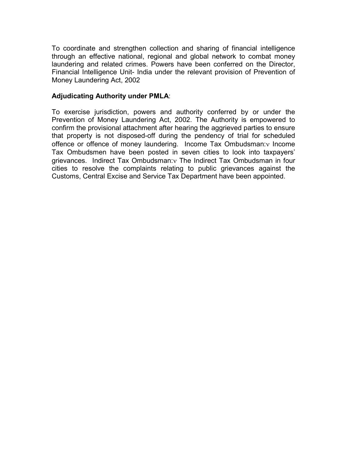To coordinate and strengthen collection and sharing of financial intelligence through an effective national, regional and global network to combat money laundering and related crimes. Powers have been conferred on the Director, Financial Intelligence Unit- India under the relevant provision of Prevention of Money Laundering Act, 2002

#### **Adjudicating Authority under PMLA**:

To exercise jurisdiction, powers and authority conferred by or under the Prevention of Money Laundering Act, 2002. The Authority is empowered to confirm the provisional attachment after hearing the aggrieved parties to ensure that property is not disposed-off during the pendency of trial for scheduled offence or offence of money laundering. Income Tax Ombudsman: v Income Tax Ombudsmen have been posted in seven cities to look into taxpayers' grievances. Indirect Tax Ombudsman: The Indirect Tax Ombudsman in four cities to resolve the complaints relating to public grievances against the Customs, Central Excise and Service Tax Department have been appointed.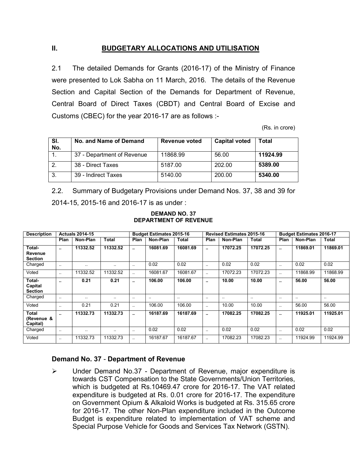## **II. BUDGETARY ALLOCATIONS AND UTILISATION**

2.1 The detailed Demands for Grants (2016-17) of the Ministry of Finance were presented to Lok Sabha on 11 March, 2016. The details of the Revenue Section and Capital Section of the Demands for Department of Revenue, Central Board of Direct Taxes (CBDT) and Central Board of Excise and Customs (CBEC) for the year 2016-17 are as follows :-

(Rs. in crore)

| SI.<br>No. | No. and Name of Demand     | Revenue voted | <b>Capital voted</b> | <b>Total</b> |
|------------|----------------------------|---------------|----------------------|--------------|
|            | 37 - Department of Revenue | 11868.99      | 56.00                | 11924.99     |
| 2.         | 38 - Direct Taxes          | 5187.00       | 202.00               | 5389.00      |
| 3.         | 39 - Indirect Taxes        | 5140.00       | 200.00               | 5340.00      |

2.2. Summary of Budgetary Provisions under Demand Nos. 37, 38 and 39 for 2014-15, 2015-16 and 2016-17 is as under :

| <b>DEMAND NO. 37</b>         |  |  |
|------------------------------|--|--|
| <b>DEPARTMENT OF REVENUE</b> |  |  |

| <b>Description</b>                  | <b>Actuals 2014-15</b> |           |           |                      | <b>Budget Estimates 2015-16</b> |          |               | <b>Revised Estimates 2015-16</b> |               |              | <b>Budget Estimates 2016-17</b> |          |  |
|-------------------------------------|------------------------|-----------|-----------|----------------------|---------------------------------|----------|---------------|----------------------------------|---------------|--------------|---------------------------------|----------|--|
|                                     | Plan                   | Non-Plan  | Total     | Plan                 | Non-Plan                        | Total    | Plan          | Non-Plan                         | Total         | Plan         | Non-Plan                        | Total    |  |
| Total-<br>Revenue<br><b>Section</b> | $\sim$                 | 11332.52  | 11332.52  | $\ddot{\phantom{a}}$ | 16081.69                        | 16081.69 | $\bullet$     | 17072.25                         | 17072.25      |              | 11869.01                        | 11869.01 |  |
| Charged                             | $\sim$ $\sim$          | $\ddotsc$ | $\cdot$ . | $\sim$ $\sim$        | 0.02                            | 0.02     | $\ddotsc$     | 0.02                             | 0.02          | $\ddotsc$    | 0.02                            | 0.02     |  |
| Voted                               | $\ddotsc$              | 11332.52  | 11332.52  | $\ddot{\phantom{a}}$ | 16081.67                        | 16081.67 | $\ddotsc$     | 17072.23                         | 17072.23      | $\ddotsc$    | 11868.99                        | 11868.99 |  |
| Total-<br>Capital<br><b>Section</b> | $\sim$                 | 0.21      | 0.21      | <b>A</b> 100         | 106.00                          | 106.00   | $\bullet$     | 10.00                            | 10.00         | <b>A</b> 100 | 56.00                           | 56.00    |  |
| Charged                             | $\sim$ $\sim$          | $\ddotsc$ | $\ddotsc$ | $\ddotsc$            |                                 |          | $\ddotsc$     | $\sim$ $\sim$                    | $\sim$ $\sim$ | $\ddotsc$    | $\ddotsc$                       |          |  |
| Voted                               | $\sim$ $\sim$          | 0.21      | 0.21      | $\ddotsc$            | 106.00                          | 106.00   | $\ddotsc$     | 10.00                            | 10.00         | $\ddotsc$    | 56.00                           | 56.00    |  |
| Total<br>(Revenue &<br>Capital)     | $\sim$                 | 11332.73  | 11332.73  | $\ddot{\phantom{a}}$ | 16187.69                        | 16187.69 | $\bullet$     | 17082.25                         | 17082.25      | <b>A</b> 100 | 11925.01                        | 11925.01 |  |
| Charged                             | $\sim$ $\sim$          | $\cdot$ . | $\cdot$ . | $\sim$ $\sim$        | 0.02                            | 0.02     | $\sim$ $\sim$ | 0.02                             | 0.02          | $\ddotsc$    | 0.02                            | 0.02     |  |
| Voted                               | $\ddotsc$              | 11332.73  | 11332.73  |                      | 16187.67                        | 16187.67 |               | 17082.23                         | 17082.23      |              | 11924.99                        | 11924.99 |  |

#### **Demand No. 37** - **Department of Revenue**

 Under Demand No.37 - Department of Revenue, major expenditure is towards CST Compensation to the State Governments/Union Territories, which is budgeted at Rs.10469.47 crore for 2016-17. The VAT related expenditure is budgeted at Rs. 0.01 crore for 2016-17. The expenditure on Government Opium & Alkaloid Works is budgeted at Rs. 315.65 crore for 2016-17. The other Non-Plan expenditure included in the Outcome Budget is expenditure related to implementation of VAT scheme and Special Purpose Vehicle for Goods and Services Tax Network (GSTN).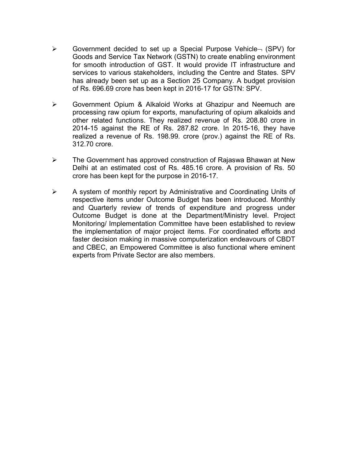- $\triangleright$  Government decided to set up a Special Purpose Vehicle  $\neg$  (SPV) for Goods and Service Tax Network (GSTN) to create enabling environment for smooth introduction of GST. It would provide IT infrastructure and services to various stakeholders, including the Centre and States. SPV has already been set up as a Section 25 Company. A budget provision of Rs. 696.69 crore has been kept in 2016-17 for GSTN: SPV.
- Government Opium & Alkaloid Works at Ghazipur and Neemuch are processing raw opium for exports, manufacturing of opium alkaloids and other related functions. They realized revenue of Rs. 208.80 crore in 2014-15 against the RE of Rs. 287.82 crore. In 2015-16, they have realized a revenue of Rs. 198.99. crore (prov.) against the RE of Rs. 312.70 crore.
- The Government has approved construction of Rajaswa Bhawan at New Delhi at an estimated cost of Rs. 485.16 crore. A provision of Rs. 50 crore has been kept for the purpose in 2016-17.
- $\triangleright$  A system of monthly report by Administrative and Coordinating Units of respective items under Outcome Budget has been introduced. Monthly and Quarterly review of trends of expenditure and progress under Outcome Budget is done at the Department/Ministry level. Project Monitoring/ Implementation Committee have been established to review the implementation of major project items. For coordinated efforts and faster decision making in massive computerization endeavours of CBDT and CBEC, an Empowered Committee is also functional where eminent experts from Private Sector are also members.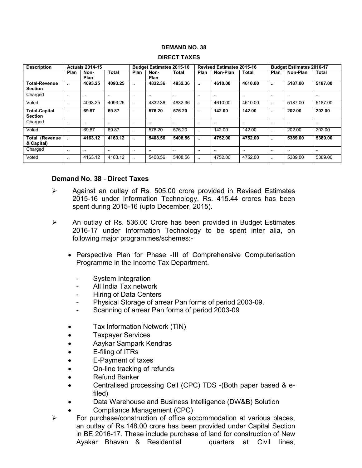#### **DEMAND NO. 38**

| <b>Description</b>                     |                      | <b>Actuals 2014-15</b> |               |                      | <b>Budget Estimates 2015-16</b> |               |                      | <b>Revised Estimates 2015-16</b> |               |                      | <b>Budget Estimates 2016-17</b> |           |
|----------------------------------------|----------------------|------------------------|---------------|----------------------|---------------------------------|---------------|----------------------|----------------------------------|---------------|----------------------|---------------------------------|-----------|
|                                        | Plan                 | Non-<br>Plan           | <b>Total</b>  | Plan                 | Non-<br>Plan                    | <b>Total</b>  | Plan                 | Non-Plan                         | Total         | Plan                 | Non-Plan                        | Total     |
| <b>Total-Revenue</b><br><b>Section</b> | $\ddot{\phantom{a}}$ | 4093.25                | 4093.25       |                      | 4832.36                         | 4832.36       | $\ddot{\phantom{a}}$ | 4610.00                          | 4610.00       | $\ddot{\phantom{a}}$ | 5187.00                         | 5187.00   |
| Charged                                | $\ddotsc$            | $\sim$ $\sim$          | $\sim$ $\sim$ | $\cdot$ .            | $\ddotsc$                       | $\sim$ $\sim$ | $\ddotsc$            | $\sim$                           | $\cdot$ .     | $\cdot$ .            | $\ddotsc$                       |           |
| Voted                                  | $\ddotsc$            | 4093.25                | 4093.25       | $\ddot{\phantom{a}}$ | 4832.36                         | 4832.36       | $\ddot{\phantom{a}}$ | 4610.00                          | 4610.00       | $\ddotsc$            | 5187.00                         | 5187.00   |
| <b>Total-Capital</b><br><b>Section</b> | $\ddot{\phantom{a}}$ | 69.87                  | 69.87         |                      | 576.20                          | 576.20        | $\ddot{\phantom{a}}$ | 142.00                           | 142.00        |                      | 202.00                          | 202.00    |
| Charged                                | $\ddotsc$            | $\sim$ $\sim$          | $\sim$ $\sim$ | $\ddotsc$            | $\ddotsc$                       | $\sim$ $\sim$ | $\ddotsc$            | $\cdot$ .                        | $\cdot$ .     | $\cdot$ .            | $\cdot$ .                       | $\ddotsc$ |
| Voted                                  | $\ddotsc$            | 69.87                  | 69.87         | $\ddot{\phantom{a}}$ | 576.20                          | 576.20        | $\ddot{\phantom{a}}$ | 142.00                           | 142.00        | $\cdot$ .            | 202.00                          | 202.00    |
| <b>Total (Revenue</b><br>& Capital)    | $\ddot{\phantom{a}}$ | 4163.12                | 4163.12       |                      | 5408.56                         | 5408.56       | $\ddot{\phantom{a}}$ | 4752.00                          | 4752.00       | $\ddot{\phantom{a}}$ | 5389.00                         | 5389.00   |
| Charged                                | $\ddotsc$            | $\sim$ $\sim$          | $\sim$ $\sim$ | $\sim$ $\sim$        | $\ddotsc$                       | $\sim$ $\sim$ | $\cdot$ .            | $\cdot$ .                        | $\sim$ $\sim$ | $\ddotsc$            | $\ddotsc$                       |           |
| Voted                                  |                      | 4163.12                | 4163.12       | $\ddotsc$            | 5408.56                         | 5408.56       | $\ddotsc$            | 4752.00                          | 4752.00       | $\ddotsc$            | 5389.00                         | 5389.00   |

#### **DIRECT TAXES**

#### **Demand No. 38** - **Direct Taxes**

- $\triangleright$  Against an outlay of Rs. 505.00 crore provided in Revised Estimates 2015-16 under Information Technology, Rs. 415.44 crores has been spent during 2015-16 (upto December, 2015).
- $\triangleright$  An outlay of Rs. 536.00 Crore has been provided in Budget Estimates 2016-17 under Information Technology to be spent inter alia, on following major programmes/schemes:-
	- Perspective Plan for Phase -III of Comprehensive Computerisation Programme in the Income Tax Department.
		- System Integration
		- All India Tax network
		- Hiring of Data Centers
		- Physical Storage of arrear Pan forms of period 2003-09.
		- Scanning of arrear Pan forms of period 2003-09
	- Tax Information Network (TIN)
	- Taxpayer Services
	- Aaykar Sampark Kendras
	- E-filing of ITRs
	- E-Payment of taxes
	- On-line tracking of refunds
	- Refund Banker
	- Centralised processing Cell (CPC) TDS -(Both paper based & efiled)
	- Data Warehouse and Business Intelligence (DW&B) Solution
	- Compliance Management (CPC)
- $\triangleright$  For purchase/construction of office accommodation at various places, an outlay of Rs.148.00 crore has been provided under Capital Section in BE 2016-17. These include purchase of land for construction of New Ayakar Bhavan & Residential quarters at Civil lines,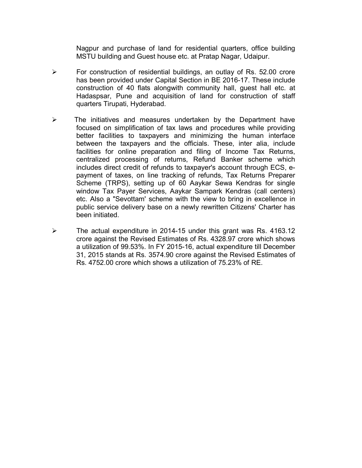Nagpur and purchase of land for residential quarters, office building MSTU building and Guest house etc. at Pratap Nagar, Udaipur.

- $\triangleright$  For construction of residential buildings, an outlay of Rs. 52.00 crore has been provided under Capital Section in BE 2016-17. These include construction of 40 flats alongwith community hall, guest hall etc. at Hadaspsar, Pune and acquisition of land for construction of staff quarters Tirupati, Hyderabad.
- $\triangleright$  The initiatives and measures undertaken by the Department have focused on simplification of tax laws and procedures while providing better facilities to taxpayers and minimizing the human interface between the taxpayers and the officials. These, inter alia, include facilities for online preparation and filing of Income Tax Returns, centralized processing of returns, Refund Banker scheme which includes direct credit of refunds to taxpayer's account through ECS, epayment of taxes, on line tracking of refunds, Tax Returns Preparer Scheme (TRPS), setting up of 60 Aaykar Sewa Kendras for single window Tax Payer Services, Aaykar Sampark Kendras (call centers) etc. Also a "Sevottam' scheme with the view to bring in excellence in public service delivery base on a newly rewritten Citizens' Charter has been initiated.
- The actual expenditure in 2014-15 under this grant was Rs. 4163.12 crore against the Revised Estimates of Rs. 4328.97 crore which shows a utilization of 99.53%. In FY 2015-16, actual expenditure till December 31, 2015 stands at Rs. 3574.90 crore against the Revised Estimates of Rs. 4752.00 crore which shows a utilization of 75.23% of RE.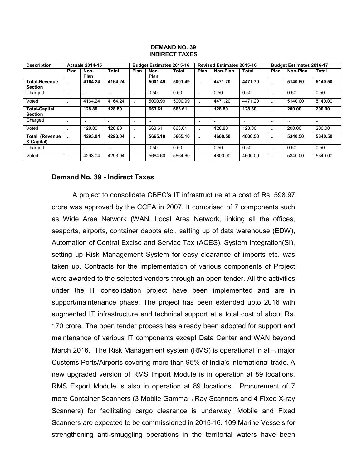#### **DEMAND NO. 39 INDIRECT TAXES**

| <b>Description</b><br><b>Actuals 2014-15</b> |                      |                      |                      | <b>Budget Estimates 2015-16</b> |              |           | <b>Revised Estimates 2015-16</b> |               |           | <b>Budget Estimates 2016-17</b> |               |           |
|----------------------------------------------|----------------------|----------------------|----------------------|---------------------------------|--------------|-----------|----------------------------------|---------------|-----------|---------------------------------|---------------|-----------|
|                                              | Plan                 | Non-<br>Plan         | Total                | Plan                            | Non-<br>Plan | Total     | Plan                             | Non-Plan      | Total     | Plan                            | Non-Plan      | Total     |
| <b>Total-Revenue</b><br><b>Section</b>       | - 11                 | 4164.24              | 4164.24              |                                 | 5001.49      | 5001.49   | $\ddot{\phantom{a}}$             | 4471.70       | 4471.70   | $\bullet$ .                     | 5140.50       | 5140.50   |
| Charged                                      | $\cdot$ .            | $\ddotsc$            |                      | $\cdot$ .                       | 0.50         | 0.50      | $\ddotsc$                        | 0.50          | 0.50      | $\ddotsc$                       | 0.50          | 0.50      |
| Voted                                        | $\ddot{\phantom{a}}$ | 4164.24              | 4164.24              | $\ddot{\phantom{a}}$            | 5000.99      | 5000.99   | $\ddot{\phantom{a}}$             | 4471.20       | 4471.20   | $\ddot{\phantom{a}}$            | 5140.00       | 5140.00   |
| <b>Total-Capital</b><br><b>Section</b>       | $\mathbf{r}$         | 128.80               | 128.80               | $\ddot{\phantom{a}}$            | 663.61       | 663.61    | $\ddotsc$                        | 128.80        | 128.80    | $\bullet$ .                     | 200.00        | 200.00    |
| Charged                                      | $\cdot$ .            | $\ddotsc$            |                      | $\cdot$ .                       | $\cdot$ .    | $\cdot$ . | $\cdot$ .                        | $\sim$ $\sim$ | $\cdot$ . | $\ddot{\phantom{0}}$            | $\sim$ $\sim$ | $\cdot$ . |
| Voted                                        | $\sim$ $\sim$        | 128.80               | 128.80               | $\ddot{\phantom{a}}$            | 663.61       | 663.61    |                                  | 128.80        | 128.80    | $\ddotsc$                       | 200.00        | 200.00    |
| <b>Total (Revenue</b><br>& Capital)          | $\ddot{\phantom{a}}$ | 4293.04              | 4293.04              |                                 | 5665.10      | 5665.10   | $\ddot{\phantom{a}}$             | 4600.50       | 4600.50   | $\bullet$ .                     | 5340.50       | 5340.50   |
| Charged                                      | $\ddotsc$            | $\ddot{\phantom{a}}$ | $\ddot{\phantom{a}}$ | $\ddot{\phantom{a}}$            | 0.50         | 0.50      | $\ddotsc$                        | 0.50          | 0.50      | $\ddot{\phantom{a}}$            | 0.50          | 0.50      |
| Voted                                        | $\ddotsc$            | 4293.04              | 4293.04              | $\ddot{\phantom{a}}$            | 5664.60      | 5664.60   | $\ddotsc$                        | 4600.00       | 4600.00   | $\ddot{\phantom{a}}$            | 5340.00       | 5340.00   |

#### **Demand No. 39 - Indirect Taxes**

A project to consolidate CBEC's IT infrastructure at a cost of Rs. 598.97 crore was approved by the CCEA in 2007. It comprised of 7 components such as Wide Area Network (WAN, Local Area Network, linking all the offices, seaports, airports, container depots etc., setting up of data warehouse (EDW), Automation of Central Excise and Service Tax (ACES), System Integration(SI), setting up Risk Management System for easy clearance of imports etc. was taken up. Contracts for the implementation of various components of Project were awarded to the selected vendors through an open tender. All the activities under the IT consolidation project have been implemented and are in support/maintenance phase. The project has been extended upto 2016 with augmented IT infrastructure and technical support at a total cost of about Rs. 170 crore. The open tender process has already been adopted for support and maintenance of various IT components except Data Center and WAN beyond March 2016. The Risk Management system (RMS) is operational in all- major Customs Ports/Airports covering more than 95% of India's international trade. A new upgraded version of RMS Import Module is in operation at 89 locations. RMS Export Module is also in operation at 89 locations. Procurement of 7 more Container Scanners (3 Mobile Gamma $\neg$  Ray Scanners and 4 Fixed X-ray Scanners) for facilitating cargo clearance is underway. Mobile and Fixed Scanners are expected to be commissioned in 2015-16. 109 Marine Vessels for strengthening anti-smuggling operations in the territorial waters have been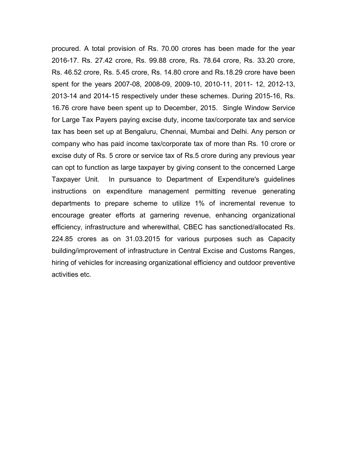procured. A total provision of Rs. 70.00 crores has been made for the year 2016-17. Rs. 27.42 crore, Rs. 99.88 crore, Rs. 78.64 crore, Rs. 33.20 crore, Rs. 46.52 crore, Rs. 5.45 crore, Rs. 14.80 crore and Rs.18.29 crore have been spent for the years 2007-08, 2008-09, 2009-10, 2010-11, 2011- 12, 2012-13, 2013-14 and 2014-15 respectively under these schemes. During 2015-16, Rs. 16.76 crore have been spent up to December, 2015. Single Window Service for Large Tax Payers paying excise duty, income tax/corporate tax and service tax has been set up at Bengaluru, Chennai, Mumbai and Delhi. Any person or company who has paid income tax/corporate tax of more than Rs. 10 crore or excise duty of Rs. 5 crore or service tax of Rs.5 crore during any previous year can opt to function as large taxpayer by giving consent to the concerned Large Taxpayer Unit. In pursuance to Department of Expenditure's guidelines instructions on expenditure management permitting revenue generating departments to prepare scheme to utilize 1% of incremental revenue to encourage greater efforts at garnering revenue, enhancing organizational efficiency, infrastructure and wherewithal, CBEC has sanctioned/allocated Rs. 224.85 crores as on 31.03.2015 for various purposes such as Capacity building/improvement of infrastructure in Central Excise and Customs Ranges, hiring of vehicles for increasing organizational efficiency and outdoor preventive activities etc.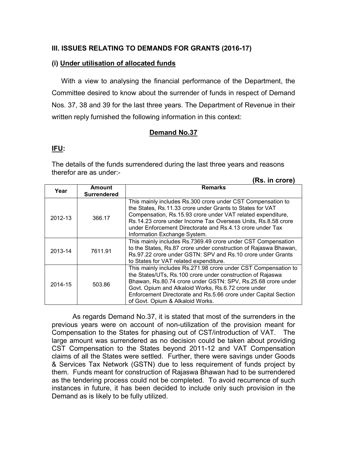### **III. ISSUES RELATING TO DEMANDS FOR GRANTS (2016-17)**

#### **(i) Under utilisation of allocated funds**

With a view to analysing the financial performance of the Department, the Committee desired to know about the surrender of funds in respect of Demand Nos. 37, 38 and 39 for the last three years. The Department of Revenue in their written reply furnished the following information in this context:

#### **Demand No.37**

### **IFU:**

The details of the funds surrendered during the last three years and reasons therefor are as under:-

**(Rs. in crore)**

|         |                                     | (RS. III Crore)                                                                                                                                                                                                                                                                                                                                            |
|---------|-------------------------------------|------------------------------------------------------------------------------------------------------------------------------------------------------------------------------------------------------------------------------------------------------------------------------------------------------------------------------------------------------------|
| Year    | <b>Amount</b><br><b>Surrendered</b> | <b>Remarks</b>                                                                                                                                                                                                                                                                                                                                             |
| 2012-13 | 366.17                              | This mainly includes Rs.300 crore under CST Compensation to<br>the States, Rs.11.33 crore under Grants to States for VAT<br>Compensation, Rs.15.93 crore under VAT related expenditure,<br>Rs.14.23 crore under Income Tax Overseas Units, Rs.8.58 crore<br>under Enforcement Directorate and Rs.4.13 crore under Tax<br>Information Exchange System.      |
| 2013-14 | 7611.91                             | This mainly includes Rs.7369.49 crore under CST Compensation<br>to the States, Rs.87 crore under construction of Rajaswa Bhawan,<br>Rs.97.22 crore under GSTN: SPV and Rs.10 crore under Grants<br>to States for VAT related expenditure.                                                                                                                  |
| 2014-15 | 503.86                              | This mainly includes Rs.271.98 crore under CST Compensation to<br>the States/UTs, Rs.100 crore under construction of Rajaswa<br>Bhawan, Rs.80.74 crore under GSTN: SPV, Rs.25.68 crore under<br>Govt. Opium and Alkaloid Works, Rs.6.72 crore under<br>Enforcement Directorate and Rs.5.66 crore under Capital Section<br>of Govt. Opium & Alkaloid Works. |

As regards Demand No.37, it is stated that most of the surrenders in the previous years were on account of non-utilization of the provision meant for Compensation to the States for phasing out of CST/introduction of VAT. The large amount was surrendered as no decision could be taken about providing CST Compensation to the States beyond 2011-12 and VAT Compensation claims of all the States were settled. Further, there were savings under Goods & Services Tax Network (GSTN) due to less requirement of funds project by them. Funds meant for construction of Rajaswa Bhawan had to be surrendered as the tendering process could not be completed. To avoid recurrence of such instances in future, it has been decided to include only such provision in the Demand as is likely to be fully utilized.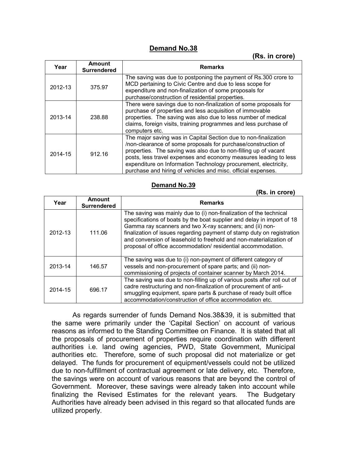## **Demand No.38**

#### **(Rs. in crore)**

| Year    | <b>Amount</b><br><b>Surrendered</b> | <b>Remarks</b>                                                                                                                                                                                                                                                                                                                                                                                             |
|---------|-------------------------------------|------------------------------------------------------------------------------------------------------------------------------------------------------------------------------------------------------------------------------------------------------------------------------------------------------------------------------------------------------------------------------------------------------------|
| 2012-13 | 375.97                              | The saving was due to postponing the payment of Rs.300 crore to<br>MCD pertaining to Civic Centre and due to less scope for<br>expenditure and non-finalization of some proposals for<br>purchase/construction of residential properties.                                                                                                                                                                  |
| 2013-14 | 238.88                              | There were savings due to non-finalization of some proposals for<br>purchase of properties and less acquisition of immovable<br>properties. The saving was also due to less number of medical<br>claims, foreign visits, training programmes and less purchase of<br>computers etc.                                                                                                                        |
| 2014-15 | 912.16                              | The major saving was in Capital Section due to non-finalization<br>/non-clearance of some proposals for purchase/construction of<br>properties. The saving was also due to non-filling up of vacant<br>posts, less travel expenses and economy measures leading to less<br>expenditure on Information Technology procurement, electricity,<br>purchase and hiring of vehicles and misc. official expenses. |

#### **Demand No.39**

|         |                                     | (Rs. in crore)                                                                                                                                                                                                                                                                                                                                                                                                           |
|---------|-------------------------------------|--------------------------------------------------------------------------------------------------------------------------------------------------------------------------------------------------------------------------------------------------------------------------------------------------------------------------------------------------------------------------------------------------------------------------|
| Year    | <b>Amount</b><br><b>Surrendered</b> | <b>Remarks</b>                                                                                                                                                                                                                                                                                                                                                                                                           |
| 2012-13 | 111.06                              | The saving was mainly due to (i) non-finalization of the technical<br>specifications of boats by the boat supplier and delay in import of 18<br>Gamma ray scanners and two X-ray scanners; and (ii) non-<br>finalization of issues regarding payment of stamp duty on registration<br>and conversion of leasehold to freehold and non-materialization of<br>proposal of office accommodation/ residential accommodation. |
| 2013-14 | 146.57                              | The saving was due to (i) non-payment of different category of<br>vessels and non-procurement of spare parts; and (ii) non-<br>commissioning of projects of container scanner by March 2014.                                                                                                                                                                                                                             |
| 2014-15 | 696.17                              | The saving was due to non-filling up of various posts after roll out of<br>cadre restructuring and non-finalization of procurement of anti-<br>smuggling equipment, spare parts & purchase of ready built office<br>accommodation/construction of office accommodation etc.                                                                                                                                              |

As regards surrender of funds Demand Nos.38&39, it is submitted that the same were primarily under the 'Capital Section' on account of various reasons as informed to the Standing Committee on Finance. It is stated that all the proposals of procurement of properties require coordination with different authorities i.e. land owing agencies, PWD, State Government, Municipal authorities etc. Therefore, some of such proposal did not materialize or get delayed. The funds for procurement of equipment/vessels could not be utilized due to non-fulfillment of contractual agreement or late delivery, etc. Therefore, the savings were on account of various reasons that are beyond the control of Government. Moreover, these savings were already taken into account while finalizing the Revised Estimates for the relevant years. The Budgetary Authorities have already been advised in this regard so that allocated funds are utilized properly.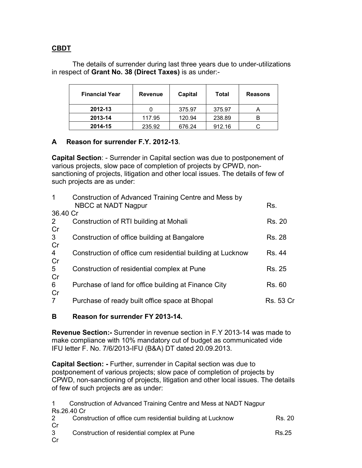## **CBDT**

The details of surrender during last three years due to under-utilizations in respect of **Grant No. 38 (Direct Taxes)** is as under:-

| <b>Financial Year</b> | <b>Revenue</b> | Capital | Total  | <b>Reasons</b> |
|-----------------------|----------------|---------|--------|----------------|
| 2012-13               |                | 375.97  | 375.97 |                |
| 2013-14               | 117.95         | 120.94  | 238.89 | В              |
| 2014-15               | 235.92         | 676.24  | 912.16 |                |

## **A Reason for surrender F.Y. 2012-13**.

**Capital Section**: - Surrender in Capital section was due to postponement of various projects, slow pace of completion of projects by CPWD, nonsanctioning of projects, litigation and other local issues. The details of few of such projects are as under:

| 1               | Construction of Advanced Training Centre and Mess by<br>NBCC at NADT Nagpur | Rs.              |
|-----------------|-----------------------------------------------------------------------------|------------------|
| 36.40 Cr        |                                                                             |                  |
| 2               | Construction of RTI building at Mohali                                      | <b>Rs. 20</b>    |
| Cr              |                                                                             |                  |
| $\mathbf{3}$    | Construction of office building at Bangalore                                | <b>Rs. 28</b>    |
| Cr              |                                                                             |                  |
| $\overline{4}$  | Construction of office cum residential building at Lucknow                  | Rs. 44           |
| Cr              |                                                                             |                  |
| $5\overline{)}$ | Construction of residential complex at Pune                                 | Rs. 25           |
| Cr              |                                                                             |                  |
| $6\phantom{1}$  | Purchase of land for office building at Finance City                        | <b>Rs. 60</b>    |
| Cr              |                                                                             |                  |
| $\overline{7}$  | Purchase of ready built office space at Bhopal                              | <b>Rs. 53 Cr</b> |
|                 |                                                                             |                  |

## **B Reason for surrender FY 2013-14.**

**Revenue Section:-** Surrender in revenue section in F.Y 2013-14 was made to make compliance with 10% mandatory cut of budget as communicated vide IFU letter F. No. 7/6/2013-IFU (B&A) DT dated 20.09.2013.

**Capital Section: -** Further, surrender in Capital section was due to postponement of various projects; slow pace of completion of projects by CPWD, non-sanctioning of projects, litigation and other local issues. The details of few of such projects are as under:

| $1 \quad$   | Construction of Advanced Training Centre and Mess at NADT Nagpur |        |
|-------------|------------------------------------------------------------------|--------|
|             | Rs.26.40 Cr                                                      |        |
| $2^{\circ}$ | Construction of office cum residential building at Lucknow       | Rs. 20 |
| Cr          |                                                                  |        |
| 3           | Construction of residential complex at Pune                      | Rs.25  |
| Cr          |                                                                  |        |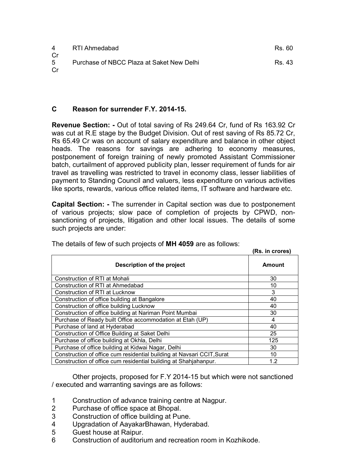| 4                   | RTI Ahmedabad                             | Rs. 60 |
|---------------------|-------------------------------------------|--------|
| Cr.<br>$5 -$<br>.Cr | Purchase of NBCC Plaza at Saket New Delhi | Rs. 43 |

### **C Reason for surrender F.Y. 2014-15.**

**Revenue Section: -** Out of total saving of Rs 249.64 Cr, fund of Rs 163.92 Cr was cut at R.E stage by the Budget Division. Out of rest saving of Rs 85.72 Cr, Rs 65.49 Cr was on account of salary expenditure and balance in other object heads. The reasons for savings are adhering to economy measures, postponement of foreign training of newly promoted Assistant Commissioner batch, curtailment of approved publicity plan, lesser requirement of funds for air travel as travelling was restricted to travel in economy class, lesser liabilities of payment to Standing Council and valuers, less expenditure on various activities like sports, rewards, various office related items, IT software and hardware etc.

**Capital Section: -** The surrender in Capital section was due to postponement of various projects; slow pace of completion of projects by CPWD, nonsanctioning of projects, litigation and other local issues. The details of some such projects are under:

| The detaile of four of babiliphojocto of <b>ith rives</b> and do follows. | (Rs. in crores) |
|---------------------------------------------------------------------------|-----------------|
| Description of the project                                                | <b>Amount</b>   |
| Construction of RTI at Mohali                                             | 30              |
| Construction of RTI at Ahmedabad                                          | 10              |
| Construction of RTI at Lucknow                                            | 3               |
| Construction of office building at Bangalore                              | 40              |
| Construction of office building Lucknow                                   | 40              |
| Construction of office building at Nariman Point Mumbai                   | 30              |
| Purchase of Ready built Office accommodation at Etah (UP)                 | 4               |
| Purchase of land at Hyderabad                                             | 40              |
| Construction of Office Building at Saket Delhi                            | 25              |
| Purchase of office building at Okhla, Delhi                               | 125             |
| Purchase of office building at Kidwai Nagar, Delhi                        | 30              |
| Construction of office cum residential building at Navsari CCIT, Surat    | 10              |
| Construction of office cum residential building at Shahjahanpur.          | 1.2             |

The details of few of such projects of **MH 4059** are as follows:

Other projects, proposed for F.Y 2014-15 but which were not sanctioned / executed and warranting savings are as follows:

- 1 Construction of advance training centre at Nagpur.
- 2 Purchase of office space at Bhopal.
- 3 Construction of office building at Pune.
- 4 Upgradation of AayakarBhawan, Hyderabad.
- 5 Guest house at Raipur.
- 6 Construction of auditorium and recreation room in Kozhikode.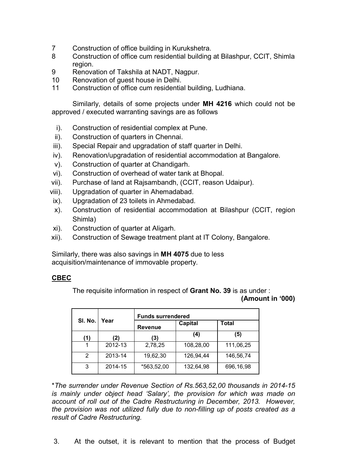- 7 Construction of office building in Kurukshetra.
- 8 Construction of office cum residential building at Bilashpur, CCIT, Shimla region.
- 9 Renovation of Takshila at NADT, Nagpur.
- 10 Renovation of guest house in Delhi.
- 11 Construction of office cum residential building, Ludhiana.

Similarly, details of some projects under **MH 4216** which could not be approved / executed warranting savings are as follows

- i). Construction of residential complex at Pune.
- ii). Construction of quarters in Chennai.
- iii). Special Repair and upgradation of staff quarter in Delhi.
- iv). Renovation/upgradation of residential accommodation at Bangalore.
- v). Construction of quarter at Chandigarh.
- vi). Construction of overhead of water tank at Bhopal.
- vii). Purchase of land at Rajsambandh, (CCIT, reason Udaipur).
- viii). Upgradation of quarter in Ahemadabad.
- ix). Upgradation of 23 toilets in Ahmedabad.
- x). Construction of residential accommodation at Bilashpur (CCIT, region Shimla)
- xi). Construction of quarter at Aligarh.
- xii). Construction of Sewage treatment plant at IT Colony, Bangalore.

Similarly, there was also savings in **MH 4075** due to less acquisition/maintenance of immovable property.

#### **CBEC**

The requisite information in respect of **Grant No. 39** is as under :

#### **(Amount in '000)**

|                 |         | <b>Funds surrendered</b> |           |              |
|-----------------|---------|--------------------------|-----------|--------------|
| SI. No.<br>Year |         | <b>Revenue</b>           | Capital   | <b>Total</b> |
| (1)             | 2)      | (3)                      | (4)       | (5)          |
|                 | 2012-13 | 2,78,25                  | 108,28,00 | 111,06,25    |
| 2               | 2013-14 | 19,62,30                 | 126,94,44 | 146,56,74    |
| 3               | 2014-15 | *563,52,00               | 132,64,98 | 696,16,98    |

\**The surrender under Revenue Section of Rs.563,52,00 thousands in 2014-15 is mainly under object head 'Salary', the provision for which was made on account of roll out of the Cadre Restructuring in December, 2013. However, the provision was not utilized fully due to non-filling up of posts created as a result of Cadre Restructuring.* 

3. At the outset, it is relevant to mention that the process of Budget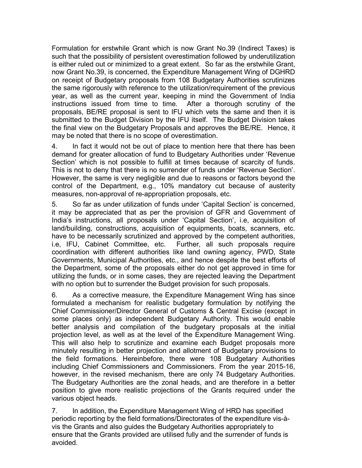Formulation for erstwhile Grant which is now Grant No.39 (Indirect Taxes) is such that the possibility of persistent overestimation followed by underutilization is either ruled out or minimized to a great extent. So far as the erstwhile Grant, now Grant No.39, is concerned, the Expenditure Management Wing of DGHRD on receipt of Budgetary proposals from 108 Budgetary Authorities scrutinizes the same rigorously with reference to the utilization/requirement of the previous year, as well as the current year, keeping in mind the Government of India instructions issued from time to time. After a thorough scrutiny of the proposals, BE/RE proposal is sent to IFU which vets the same and then it is submitted to the Budget Division by the IFU itself. The Budget Division takes the final view on the Budgetary Proposals and approves the BE/RE. Hence, it may be noted that there is no scope of overestimation.

4. In fact it would not be out of place to mention here that there has been demand for greater allocation of fund to Budgetary Authorities under 'Revenue Section' which is not possible to fulfill at times because of scarcity of funds. This is not to deny that there is no surrender of funds under 'Revenue Section'. However, the same is very negligible and due to reasons or factors beyond the control of the Department, e.g., 10% mandatory cut because of austerity measures, non-approval of re-appropriation proposals, etc.

5. So far as under utilization of funds under 'Capital Section' is concerned, it may be appreciated that as per the provision of GFR and Government of India's instructions, all proposals under 'Capital Section', i.e, acquisition of land/building, constructions, acquisition of equipments, boats, scanners, etc. have to be necessarily scrutinized and approved by the competent authorities, i.e, IFU, Cabinet Committee, etc. Further, all such proposals require coordination with different authorities like land owning agency, PWD, State Governments, Municipal Authorities, etc., and hence despite the best efforts of the Department, some of the proposals either do not get approved in time for utilizing the funds, or in some cases, they are rejected leaving the Department with no option but to surrender the Budget provision for such proposals.

6. As a corrective measure, the Expenditure Management Wing has since formulated a mechanism for realistic budgetary formulation by notifying the Chief Commissioner/Director General of Customs & Central Excise (except in some places only) as independent Budgetary Authority. This would enable better analysis and compilation of the budgetary proposals at the initial projection level, as well as at the level of the Expenditure Management Wing. This will also help to scrutinize and examine each Budget proposals more minutely resulting in better projection and allotment of Budgetary provisions to the field formations. Hereinbefore, there were 108 Budgetary Authorities including Chief Commissioners and Commissioners. From the year 2015-16, however, in the revised mechanism, there are only 74 Budgetary Authorities. The Budgetary Authorities are the zonal heads, and are therefore in a better position to give more realistic projections of the Grants required under the various object heads.

7. In addition, the Expenditure Management Wing of HRD has specified periodic reporting by the field formations/Directorates of the expenditure vis-àvis the Grants and also guides the Budgetary Authorities appropriately to ensure that the Grants provided are utilised fully and the surrender of funds is avoided.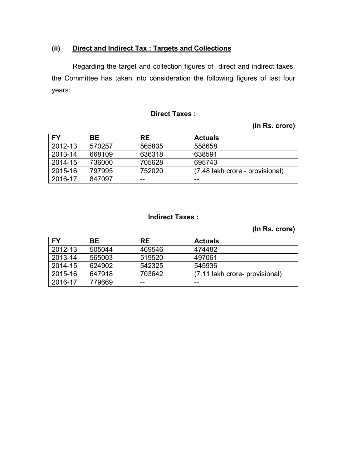## **(ii) Direct and Indirect Tax : Targets and Collections**

Regarding the target and collection figures of direct and indirect taxes, the Committee has taken into consideration the following figures of last four years:

### **Direct Taxes :**

## **(In Rs. crore)**

| <b>FY</b> | BE.    | <b>RE</b> | <b>Actuals</b>                  |
|-----------|--------|-----------|---------------------------------|
| 2012-13   | 570257 | 565835    | 558658                          |
| 2013-14   | 668109 | 636318    | 638591                          |
| 2014-15   | 736000 | 705628    | 695743                          |
| 2015-16   | 797995 | 752020    | (7.48 lakh crore - provisional) |
| 2016-17   | 847097 | $- -$     | $- -$                           |

## **Indirect Taxes :**

## **(In Rs. crore)**

| <b>FY</b> | BE.    | <b>RE</b> | <b>Actuals</b>                 |
|-----------|--------|-----------|--------------------------------|
| 2012-13   | 505044 | 469546    | 474482                         |
| 2013-14   | 565003 | 519520    | 497061                         |
| 2014-15   | 624902 | 542325    | 545936                         |
| 2015-16   | 647918 | 703642    | (7.11 lakh crore- provisional) |
| 2016-17   | 779669 | $- -$     | $- -$                          |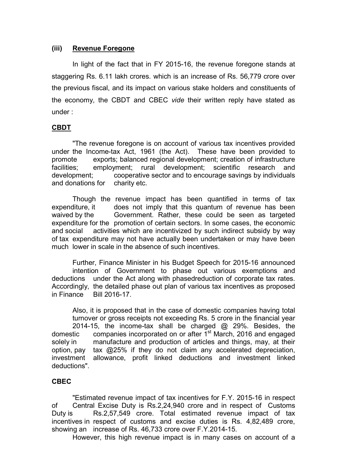### **(iii) Revenue Foregone**

In light of the fact that in FY 2015-16, the revenue foregone stands at staggering Rs. 6.11 lakh crores. which is an increase of Rs. 56,779 crore over the previous fiscal, and its impact on various stake holders and constituents of the economy, the CBDT and CBEC *vide* their written reply have stated as under :

#### **CBDT**

"The revenue foregone is on account of various tax incentives provided under the Income-tax Act, 1961 (the Act). These have been provided to promote exports; balanced regional development; creation of infrastructure facilities; employment; rural development; scientific research and development; cooperative sector and to encourage savings by individuals and donations for charity etc.

Though the revenue impact has been quantified in terms of tax expenditure, it does not imply that this quantum of revenue has been waived by the Government. Rather, these could be seen as targeted expenditure for the promotion of certain sectors. In some cases, the economic and social activities which are incentivized by such indirect subsidy by way of tax expenditure may not have actually been undertaken or may have been much lower in scale in the absence of such incentives.

Further, Finance Minister in his Budget Speech for 2015-16 announced intention of Government to phase out various exemptions and deductions under the Act along with phasedreduction of corporate tax rates. Accordingly, the detailed phase out plan of various tax incentives as proposed in Finance Bill 2016-17.

Also, it is proposed that in the case of domestic companies having total turnover or gross receipts not exceeding Rs. 5 crore in the financial year 2014-15, the income-tax shall be charged @ 29%. Besides, the domestic companies incorporated on or after 1<sup>st</sup> March, 2016 and engaged solely in manufacture and production of articles and things, may, at their option, pay tax @25% if they do not claim any accelerated depreciation, investment allowance, profit linked deductions and investment linked deductions".

#### **CBEC**

"Estimated revenue impact of tax incentives for F.Y. 2015-16 in respect of Central Excise Duty is Rs.2,24,940 crore and in respect of Customs Duty is Rs.2,57,549 crore. Total estimated revenue impact of tax incentives in respect of customs and excise duties is Rs. 4,82,489 crore, showing an increase of Rs. 46,733 crore over F.Y.2014-15.

However, this high revenue impact is in many cases on account of a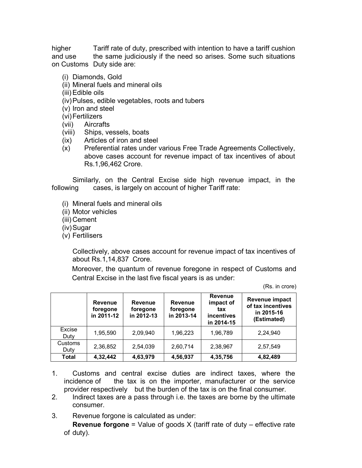higher Tariff rate of duty, prescribed with intention to have a tariff cushion and use the same judiciously if the need so arises. Some such situations on Customs Duty side are:

- (i) Diamonds, Gold
- (ii) Mineral fuels and mineral oils
- (iii)Edible oils
- (iv)Pulses, edible vegetables, roots and tubers
- (v) Iron and steel
- (vi)Fertilizers
- (vii) Aircrafts
- (viii) Ships, vessels, boats
- (ix) Articles of iron and steel
- (x) Preferential rates under various Free Trade Agreements Collectively, above cases account for revenue impact of tax incentives of about Rs.1,96,462 Crore.

Similarly, on the Central Excise side high revenue impact, in the following cases, is largely on account of higher Tariff rate:

- (i) Mineral fuels and mineral oils
- (ii) Motor vehicles
- (iii) Cement
- (iv)Sugar
- (v) Fertilisers

Collectively, above cases account for revenue impact of tax incentives of about Rs.1,14,837 Crore.

Moreover, the quantum of revenue foregone in respect of Customs and Central Excise in the last five fiscal years is as under:

(Rs. in crore)

|                 | <b>Revenue</b><br>foregone<br>in 2011-12 | <b>Revenue</b><br>foregone<br>in 2012-13 | <b>Revenue</b><br>foregone<br>in 2013-14 | <b>Revenue</b><br>impact of<br>tax<br>incentives<br>in 2014-15 | Revenue impact<br>of tax incentives<br>in 2015-16<br>(Estimated) |
|-----------------|------------------------------------------|------------------------------------------|------------------------------------------|----------------------------------------------------------------|------------------------------------------------------------------|
| Excise<br>Duty  | 1,95,590                                 | 2,09,940                                 | 1,96,223                                 | 1,96,789                                                       | 2,24,940                                                         |
| Customs<br>Duty | 2,36,852                                 | 2,54,039                                 | 2,60,714                                 | 2,38,967                                                       | 2,57,549                                                         |
| <b>Total</b>    | 4,32,442                                 | 4,63,979                                 | 4,56,937                                 | 4,35,756                                                       | 4,82,489                                                         |

- 1. Customs and central excise duties are indirect taxes, where the incidence of the tax is on the importer, manufacturer or the service provider respectively but the burden of the tax is on the final consumer.
- 2. Indirect taxes are a pass through i.e. the taxes are borne by the ultimate consumer.
- 3. Revenue forgone is calculated as under:

 **Revenue forgone** = Value of goods X (tariff rate of duty – effective rate of duty).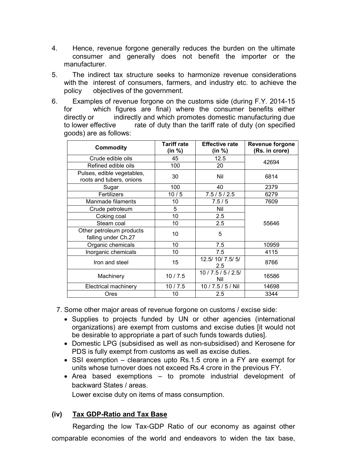- 4. Hence, revenue forgone generally reduces the burden on the ultimate consumer and generally does not benefit the importer or the manufacturer.
- 5. The indirect tax structure seeks to harmonize revenue considerations with the interest of consumers, farmers, and industry etc. to achieve the policy objectives of the government.
- 6. Examples of revenue forgone on the customs side (during F.Y. 2014-15 for which figures are final) where the consumer benefits either directly or indirectly and which promotes domestic manufacturing due to lower effective rate of duty than the tariff rate of duty (on specified goods) are as follows:

| <b>Commodity</b>                                       | <b>Tariff rate</b><br>(in %) | <b>Effective rate</b><br>(in %) | <b>Revenue forgone</b><br>(Rs. in crore) |
|--------------------------------------------------------|------------------------------|---------------------------------|------------------------------------------|
| Crude edible oils                                      | 45                           | 12.5                            |                                          |
| Refined edible oils                                    | 100                          | 20                              | 42694                                    |
| Pulses, edible vegetables,<br>roots and tubers, onions | 30                           | Nil                             | 6814                                     |
| Sugar                                                  | 100                          | 40                              | 2379                                     |
| Fertilizers                                            | 10/5                         | 7.5/5/2.5                       | 6279                                     |
| Manmade filaments                                      | 10                           | 7.5/5                           | 7609                                     |
| Crude petroleum                                        | 5                            | Nil                             |                                          |
| Coking coal                                            | 10                           | 2.5                             |                                          |
| Steam coal                                             | 10                           | 2.5                             | 55646                                    |
| Other petroleum products<br>falling under Ch.27        | 10                           | 5                               |                                          |
| Organic chemicals                                      | 10                           | 7.5                             | 10959                                    |
| Inorganic chemicals                                    | 10                           | 7.5                             | 4115                                     |
| Iron and steel                                         | 15                           | 12.5/ 10/ 7.5/ 5/<br>2.5        | 8766                                     |
| Machinery                                              | 10/7.5                       | 10/7.5/5/2.5/<br>Nil            | 16586                                    |
| Electrical machinery                                   | 10/7.5                       | 10 / 7.5 / 5 / Nil              | 14698                                    |
| Ores                                                   | 10                           | 2.5                             | 3344                                     |

- 7. Some other major areas of revenue forgone on customs / excise side:
	- Supplies to projects funded by UN or other agencies (international organizations) are exempt from customs and excise duties [it would not be desirable to appropriate a part of such funds towards duties].
	- Domestic LPG (subsidised as well as non-subsidised) and Kerosene for PDS is fully exempt from customs as well as excise duties.
	- SSI exemption clearances upto Rs.1.5 crore in a FY are exempt for units whose turnover does not exceed Rs.4 crore in the previous FY.
	- Area based exemptions to promote industrial development of backward States / areas.

Lower excise duty on items of mass consumption.

#### **(iv) Tax GDP-Ratio and Tax Base**

Regarding the low Tax-GDP Ratio of our economy as against other comparable economies of the world and endeavors to widen the tax base,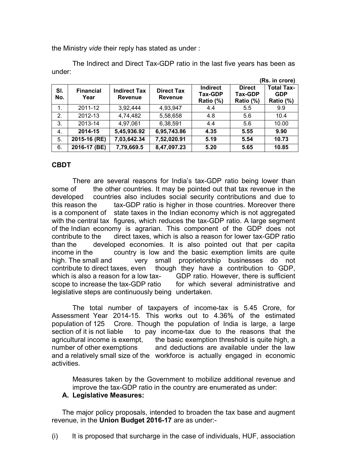the Ministry *vide* their reply has stated as under :

|                |                          |                                       |                                     |                                                |                                       | (Rs. in crore)                               |
|----------------|--------------------------|---------------------------------------|-------------------------------------|------------------------------------------------|---------------------------------------|----------------------------------------------|
| SI.<br>No.     | <b>Financial</b><br>Year | <b>Indirect Tax</b><br><b>Revenue</b> | <b>Direct Tax</b><br><b>Revenue</b> | <b>Indirect</b><br><b>Tax-GDP</b><br>Ratio (%) | <b>Direct</b><br>Tax-GDP<br>Ratio (%) | <b>Total Tax-</b><br><b>GDP</b><br>Ratio (%) |
| $\mathbf{1}$ . | 2011-12                  | 3,92,444                              | 4,93,947                            | 4.4                                            | 5.5                                   | 9.9                                          |
| 2.             | 2012-13                  | 4,74,482                              | 5,58,658                            | 4.8                                            | 5.6                                   | 10.4                                         |
| 3.             | 2013-14                  | 4,97,061                              | 6,38,591                            | 4.4                                            | 5.6                                   | 10.00                                        |
| 4.             | 2014-15                  | 5,45,936.92                           | 6,95,743.86                         | 4.35                                           | 5.55                                  | 9.90                                         |
| 5.             | 2015-16 (RE)             | 7,03,642.34                           | 7,52,020.91                         | 5.19                                           | 5.54                                  | 10.73                                        |
| 6.             | 2016-17 (BE)             | 7,79,669.5                            | 8,47,097.23                         | 5.20                                           | 5.65                                  | 10.85                                        |

The Indirect and Direct Tax-GDP ratio in the last five years has been as under:

### **CBDT**

There are several reasons for India's tax-GDP ratio being lower than some of the other countries. It may be pointed out that tax revenue in the developed countries also includes social security contributions and due to this reason the tax-GDP ratio is higher in those countries. Moreover there is a component of state taxes in the Indian economy which is not aggregated with the central tax figures, which reduces the tax-GDP ratio. A large segment of the Indian economy is agrarian. This component of the GDP does not contribute to the direct taxes, which is also a reason for lower tax-GDP ratio than the developed economies. It is also pointed out that per capita income in the country is low and the basic exemption limits are quite high. The small and very small proprietorship businesses do not contribute to direct taxes, even though they have a contribution to GDP, which is also a reason for a low tax-<br>
GDP ratio. However, there is sufficient scope to increase the tax-GDP ratio for which several administrative and legislative steps are continuously being undertaken.

The total number of taxpayers of income-tax is 5.45 Crore, for Assessment Year 2014-15. This works out to 4.36% of the estimated population of 125 Crore. Though the population of India is large, a large section of it is not liable to pay income-tax due to the reasons that the agricultural income is exempt, the basic exemption threshold is quite high, a number of other exemptions and deductions are available under the law and a relatively small size of the workforce is actually engaged in economic activities.

Measures taken by the Government to mobilize additional revenue and improve the tax-GDP ratio in the country are enumerated as under:

#### **A. Legislative Measures:**

The major policy proposals, intended to broaden the tax base and augment revenue, in the **Union Budget 2016-17** are as under:-

(i) It is proposed that surcharge in the case of individuals, HUF, association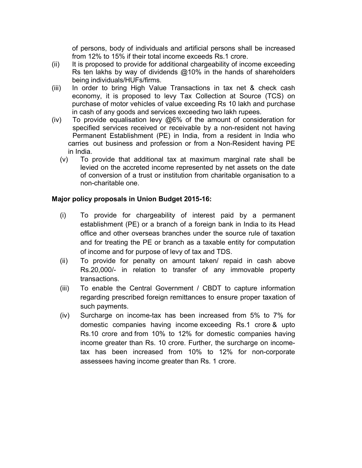of persons, body of individuals and artificial persons shall be increased from 12% to 15% if their total income exceeds Rs.1 crore.

- (ii) It is proposed to provide for additional chargeability of income exceeding Rs ten lakhs by way of dividends  $@10\%$  in the hands of shareholders being individuals/HUFs/firms.
- (iii) In order to bring High Value Transactions in tax net & check cash economy, it is proposed to levy Tax Collection at Source (TCS) on purchase of motor vehicles of value exceeding Rs 10 lakh and purchase in cash of any goods and services exceeding two lakh rupees.
- (iv) To provide equalisation levy @6% of the amount of consideration for specified services received or receivable by a non-resident not having Permanent Establishment (PE) in India, from a resident in India who carries out business and profession or from a Non-Resident having PE in India.
	- (v) To provide that additional tax at maximum marginal rate shall be levied on the accreted income represented by net assets on the date of conversion of a trust or institution from charitable organisation to a non-charitable one.

### **Major policy proposals in Union Budget 2015-16:**

- (i) To provide for chargeability of interest paid by a permanent establishment (PE) or a branch of a foreign bank in India to its Head office and other overseas branches under the source rule of taxation and for treating the PE or branch as a taxable entity for computation of income and for purpose of levy of tax and TDS.
- (ii) To provide for penalty on amount taken/ repaid in cash above Rs.20,000/- in relation to transfer of any immovable property transactions.
- (iii) To enable the Central Government / CBDT to capture information regarding prescribed foreign remittances to ensure proper taxation of such payments.
- (iv) Surcharge on income-tax has been increased from 5% to 7% for domestic companies having income exceeding Rs.1 crore & upto Rs.10 crore and from 10% to 12% for domestic companies having income greater than Rs. 10 crore. Further, the surcharge on incometax has been increased from 10% to 12% for non-corporate assessees having income greater than Rs. 1 crore.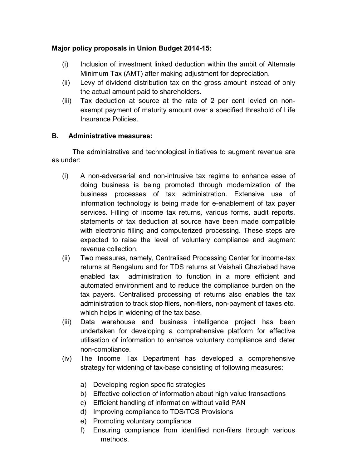## **Major policy proposals in Union Budget 2014-15:**

- (i) Inclusion of investment linked deduction within the ambit of Alternate Minimum Tax (AMT) after making adjustment for depreciation.
- (ii) Levy of dividend distribution tax on the gross amount instead of only the actual amount paid to shareholders.
- (iii) Tax deduction at source at the rate of 2 per cent levied on nonexempt payment of maturity amount over a specified threshold of Life Insurance Policies.

### **B. Administrative measures:**

The administrative and technological initiatives to augment revenue are as under:

- (i) A non-adversarial and non-intrusive tax regime to enhance ease of doing business is being promoted through modernization of the business processes of tax administration. Extensive use of information technology is being made for e-enablement of tax payer services. Filling of income tax returns, various forms, audit reports, statements of tax deduction at source have been made compatible with electronic filling and computerized processing. These steps are expected to raise the level of voluntary compliance and augment revenue collection.
- (ii) Two measures, namely, Centralised Processing Center for income-tax returns at Bengaluru and for TDS returns at Vaishali Ghaziabad have enabled tax administration to function in a more efficient and automated environment and to reduce the compliance burden on the tax payers. Centralised processing of returns also enables the tax administration to track stop filers, non-filers, non-payment of taxes etc. which helps in widening of the tax base.
- (iii) Data warehouse and business intelligence project has been undertaken for developing a comprehensive platform for effective utilisation of information to enhance voluntary compliance and deter non-compliance.
- (iv) The Income Tax Department has developed a comprehensive strategy for widening of tax-base consisting of following measures:
	- a) Developing region specific strategies
	- b) Effective collection of information about high value transactions
	- c) Efficient handling of information without valid PAN
	- d) Improving compliance to TDS/TCS Provisions
	- e) Promoting voluntary compliance
	- f) Ensuring compliance from identified non-filers through various methods.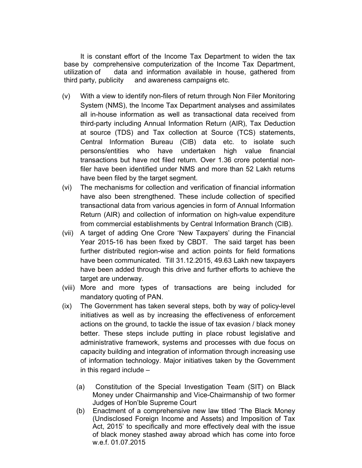It is constant effort of the Income Tax Department to widen the tax base by comprehensive computerization of the Income Tax Department, utilization of data and information available in house, gathered from third party, publicity and awareness campaigns etc.

- (v) With a view to identify non-filers of return through Non Filer Monitoring System (NMS), the Income Tax Department analyses and assimilates all in-house information as well as transactional data received from third-party including Annual Information Return (AIR), Tax Deduction at source (TDS) and Tax collection at Source (TCS) statements, Central Information Bureau (CIB) data etc. to isolate such persons/entities who have undertaken high value financial transactions but have not filed return. Over 1.36 crore potential nonfiler have been identified under NMS and more than 52 Lakh returns have been filed by the target segment.
- (vi) The mechanisms for collection and verification of financial information have also been strengthened. These include collection of specified transactional data from various agencies in form of Annual Information Return (AIR) and collection of information on high-value expenditure from commercial establishments by Central Information Branch (CIB).
- (vii) A target of adding One Crore 'New Taxpayers' during the Financial Year 2015-16 has been fixed by CBDT. The said target has been further distributed region-wise and action points for field formations have been communicated. Till 31.12.2015, 49.63 Lakh new taxpayers have been added through this drive and further efforts to achieve the target are underway.
- (viii) More and more types of transactions are being included for mandatory quoting of PAN.
- (ix) The Government has taken several steps, both by way of policy-level initiatives as well as by increasing the effectiveness of enforcement actions on the ground, to tackle the issue of tax evasion / black money better. These steps include putting in place robust legislative and administrative framework, systems and processes with due focus on capacity building and integration of information through increasing use of information technology. Major initiatives taken by the Government in this regard include –
	- (a) Constitution of the Special Investigation Team (SIT) on Black Money under Chairmanship and Vice-Chairmanship of two former Judges of Hon'ble Supreme Court
	- (b) Enactment of a comprehensive new law titled 'The Black Money (Undisclosed Foreign Income and Assets) and Imposition of Tax Act, 2015' to specifically and more effectively deal with the issue of black money stashed away abroad which has come into force w.e.f. 01.07.2015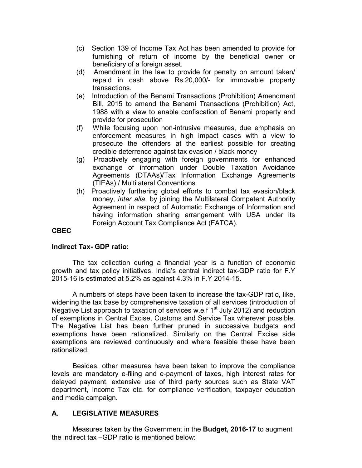- (c) Section 139 of Income Tax Act has been amended to provide for furnishing of return of income by the beneficial owner or beneficiary of a foreign asset.
- (d) Amendment in the law to provide for penalty on amount taken/ repaid in cash above Rs.20,000/- for immovable property transactions.
- (e) Introduction of the Benami Transactions (Prohibition) Amendment Bill, 2015 to amend the Benami Transactions (Prohibition) Act, 1988 with a view to enable confiscation of Benami property and provide for prosecution
- (f) While focusing upon non-intrusive measures, due emphasis on enforcement measures in high impact cases with a view to prosecute the offenders at the earliest possible for creating credible deterrence against tax evasion / black money
- (g) Proactively engaging with foreign governments for enhanced exchange of information under Double Taxation Avoidance Agreements (DTAAs)/Tax Information Exchange Agreements (TIEAs) / Multilateral Conventions
- (h) Proactively furthering global efforts to combat tax evasion/black money, *inter alia*, by joining the Multilateral Competent Authority Agreement in respect of Automatic Exchange of Information and having information sharing arrangement with USA under its Foreign Account Tax Compliance Act (FATCA).

#### **CBEC**

#### **Indirect Tax- GDP ratio:**

The tax collection during a financial year is a function of economic growth and tax policy initiatives. India's central indirect tax-GDP ratio for F.Y 2015-16 is estimated at 5.2% as against 4.3% in F.Y 2014-15.

A numbers of steps have been taken to increase the tax-GDP ratio, like, widening the tax base by comprehensive taxation of all services (introduction of Negative List approach to taxation of services w.e.f  $1<sup>st</sup>$  July 2012) and reduction of exemptions in Central Excise, Customs and Service Tax wherever possible. The Negative List has been further pruned in successive budgets and exemptions have been rationalized. Similarly on the Central Excise side exemptions are reviewed continuously and where feasible these have been rationalized.

Besides, other measures have been taken to improve the compliance levels are mandatory e-filing and e-payment of taxes, high interest rates for delayed payment, extensive use of third party sources such as State VAT department, Income Tax etc. for compliance verification, taxpayer education and media campaign.

#### **A. LEGISLATIVE MEASURES**

Measures taken by the Government in the **Budget, 2016-17** to augment the indirect tax –GDP ratio is mentioned below: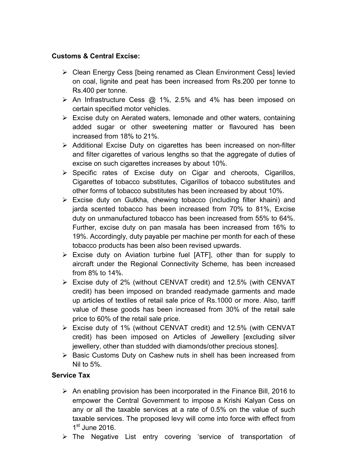## **Customs & Central Excise:**

- $\triangleright$  Clean Energy Cess [being renamed as Clean Environment Cess] levied on coal, lignite and peat has been increased from Rs.200 per tonne to Rs.400 per tonne.
- $\triangleright$  An Infrastructure Cess  $\omega$  1%, 2.5% and 4% has been imposed on certain specified motor vehicles.
- $\triangleright$  Excise duty on Aerated waters, lemonade and other waters, containing added sugar or other sweetening matter or flavoured has been increased from 18% to 21%.
- $\triangleright$  Additional Excise Duty on cigarettes has been increased on non-filter and filter cigarettes of various lengths so that the aggregate of duties of excise on such cigarettes increases by about 10%.
- $\triangleright$  Specific rates of Excise duty on Cigar and cheroots, Cigarillos, Cigarettes of tobacco substitutes, Cigarillos of tobacco substitutes and other forms of tobacco substitutes has been increased by about 10%.
- $\triangleright$  Excise duty on Gutkha, chewing tobacco (including filter khaini) and jarda scented tobacco has been increased from 70% to 81%, Excise duty on unmanufactured tobacco has been increased from 55% to 64%. Further, excise duty on pan masala has been increased from 16% to 19%. Accordingly, duty payable per machine per month for each of these tobacco products has been also been revised upwards.
- $\triangleright$  Excise duty on Aviation turbine fuel [ATF], other than for supply to aircraft under the Regional Connectivity Scheme, has been increased from 8% to 14%.
- $\triangleright$  Excise duty of 2% (without CENVAT credit) and 12.5% (with CENVAT credit) has been imposed on branded readymade garments and made up articles of textiles of retail sale price of Rs.1000 or more. Also, tariff value of these goods has been increased from 30% of the retail sale price to 60% of the retail sale price.
- Excise duty of 1% (without CENVAT credit) and 12.5% (with CENVAT credit) has been imposed on Articles of Jewellery [excluding silver jewellery, other than studded with diamonds/other precious stones].
- $\triangleright$  Basic Customs Duty on Cashew nuts in shell has been increased from Nil to 5%.

## **Service Tax**

- $\triangleright$  An enabling provision has been incorporated in the Finance Bill, 2016 to empower the Central Government to impose a Krishi Kalyan Cess on any or all the taxable services at a rate of 0.5% on the value of such taxable services. The proposed levy will come into force with effect from  $1<sup>st</sup>$  June 2016.
- $\triangleright$  The Negative List entry covering 'service of transportation of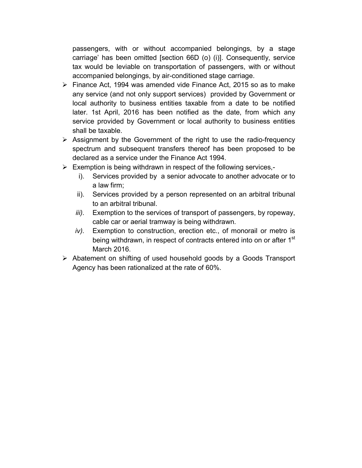passengers, with or without accompanied belongings, by a stage carriage' has been omitted [section 66D (o) (i)]. Consequently, service tax would be leviable on transportation of passengers, with or without accompanied belongings, by air-conditioned stage carriage.

- $\triangleright$  Finance Act, 1994 was amended vide Finance Act, 2015 so as to make any service (and not only support services) provided by Government or local authority to business entities taxable from a date to be notified later. 1st April, 2016 has been notified as the date, from which any service provided by Government or local authority to business entities shall be taxable.
- $\triangleright$  Assignment by the Government of the right to use the radio-frequency spectrum and subsequent transfers thereof has been proposed to be declared as a service under the Finance Act 1994.
- $\triangleright$  Exemption is being withdrawn in respect of the following services,
	- i). Services provided by a senior advocate to another advocate or to a law firm;
	- ii). Services provided by a person represented on an arbitral tribunal to an arbitral tribunal.
	- *iii).* Exemption to the services of transport of passengers, by ropeway, cable car or aerial tramway is being withdrawn.
	- *iv).* Exemption to construction, erection etc., of monorail or metro is being withdrawn, in respect of contracts entered into on or after 1<sup>st</sup> March 2016.
- Abatement on shifting of used household goods by a Goods Transport Agency has been rationalized at the rate of 60%.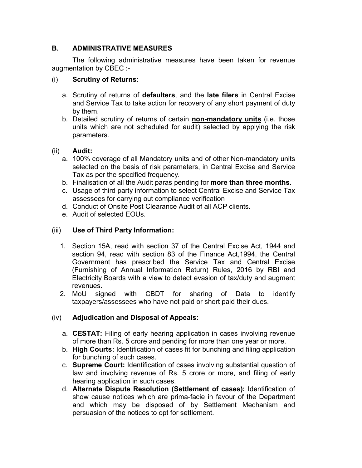## **B. ADMINISTRATIVE MEASURES**

The following administrative measures have been taken for revenue augmentation by CBEC :-

## (i) **Scrutiny of Returns**:

- a. Scrutiny of returns of **defaulters**, and the **late filers** in Central Excise and Service Tax to take action for recovery of any short payment of duty by them.
- b. Detailed scrutiny of returns of certain **non-mandatory units** (i.e. those units which are not scheduled for audit) selected by applying the risk parameters.

### (ii) **Audit:**

- a. 100% coverage of all Mandatory units and of other Non-mandatory units selected on the basis of risk parameters, in Central Excise and Service Tax as per the specified frequency.
- b. Finalisation of all the Audit paras pending for **more than three months**.
- c. Usage of third party information to select Central Excise and Service Tax assessees for carrying out compliance verification
- d. Conduct of Onsite Post Clearance Audit of all ACP clients.
- e. Audit of selected EOUs.

## (iii) **Use of Third Party Information:**

- 1. Section 15A, read with section 37 of the Central Excise Act, 1944 and section 94, read with section 83 of the Finance Act,1994, the Central Government has prescribed the Service Tax and Central Excise (Furnishing of Annual Information Return) Rules, 2016 by RBI and Electricity Boards with a view to detect evasion of tax/duty and augment revenues.
- 2. MoU signed with CBDT for sharing of Data to identify taxpayers/assessees who have not paid or short paid their dues.

### (iv) **Adjudication and Disposal of Appeals:**

- a. **CESTAT:** Filing of early hearing application in cases involving revenue of more than Rs. 5 crore and pending for more than one year or more.
- b. **High Courts:** Identification of cases fit for bunching and filing application for bunching of such cases.
- c. **Supreme Court:** Identification of cases involving substantial question of law and involving revenue of Rs. 5 crore or more, and filing of early hearing application in such cases.
- d. **Alternate Dispute Resolution (Settlement of cases):** Identification of show cause notices which are prima-facie in favour of the Department and which may be disposed of by Settlement Mechanism and persuasion of the notices to opt for settlement.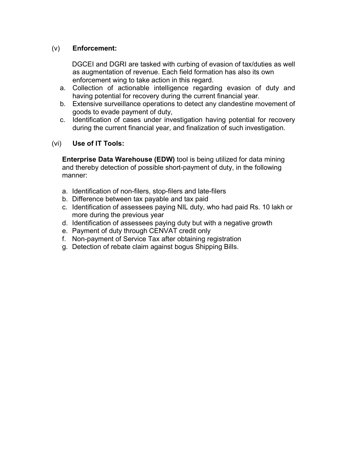## (v) **Enforcement:**

DGCEI and DGRI are tasked with curbing of evasion of tax/duties as well as augmentation of revenue. Each field formation has also its own enforcement wing to take action in this regard.

- a. Collection of actionable intelligence regarding evasion of duty and having potential for recovery during the current financial year.
- b. Extensive surveillance operations to detect any clandestine movement of goods to evade payment of duty,
- c. Identification of cases under investigation having potential for recovery during the current financial year, and finalization of such investigation.

### (vi) **Use of IT Tools:**

**Enterprise Data Warehouse (EDW)** tool is being utilized for data mining and thereby detection of possible short-payment of duty, in the following manner:

- a. Identification of non-filers, stop-filers and late-filers
- b. Difference between tax payable and tax paid
- c. Identification of assessees paying NIL duty, who had paid Rs. 10 lakh or more during the previous year
- d. Identification of assessees paying duty but with a negative growth
- e. Payment of duty through CENVAT credit only
- f. Non-payment of Service Tax after obtaining registration
- g. Detection of rebate claim against bogus Shipping Bills.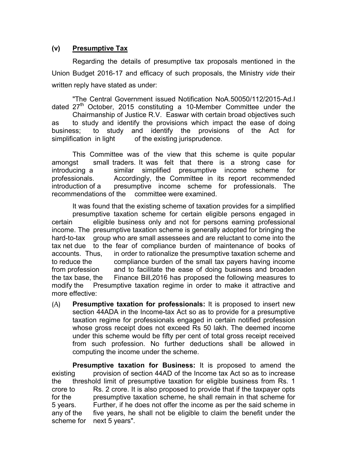### **(v) Presumptive Tax**

Regarding the details of presumptive tax proposals mentioned in the Union Budget 2016-17 and efficacy of such proposals, the Ministry *vide* their written reply have stated as under:

"The Central Government issued Notification NoA.50050/112/2015-Ad.I dated  $27<sup>th</sup>$  October, 2015 constituting a 10-Member Committee under the

Chairmanship of Justice R.V. Easwar with certain broad objectives such as to study and identify the provisions which impact the ease of doing business; to study and identify the provisions of the Act for simplification in light of the existing jurisprudence.

This Committee was of the view that this scheme is quite popular amongst small traders. It was felt that there is a strong case for introducing a similar simplified presumptive income scheme for professionals. Accordingly, the Committee in its report recommended introduction of a presumptive income scheme for professionals. The recommendations of the committee were examined.

It was found that the existing scheme of taxation provides for a simplified presumptive taxation scheme for certain eligible persons engaged in certain eligible business only and not for persons earning professional income. The presumptive taxation scheme is generally adopted for bringing the hard-to-tax group who are small assessees and are reluctant to come into the tax net due to the fear of compliance burden of maintenance of books of accounts. Thus, in order to rationalize the presumptive taxation scheme and to reduce the compliance burden of the small tax payers having income from profession and to facilitate the ease of doing business and broaden the tax base, the Finance Bill,2016 has proposed the following measures to modify the Presumptive taxation regime in order to make it attractive and more effective:

(A) **Presumptive taxation for professionals:** It is proposed to insert new section 44ADA in the Income-tax Act so as to provide for a presumptive taxation regime for professionals engaged in certain notified profession whose gross receipt does not exceed Rs 50 lakh. The deemed income under this scheme would be fifty per cent of total gross receipt received from such profession. No further deductions shall be allowed in computing the income under the scheme.

**Presumptive taxation for Business:** It is proposed to amend the existing provision of section 44AD of the Income tax Act so as to increase the threshold limit of presumptive taxation for eligible business from Rs. 1 crore to Rs. 2 crore. It is also proposed to provide that if the taxpayer opts for the presumptive taxation scheme, he shall remain in that scheme for 5 years. Further, if he does not offer the income as per the said scheme in any of the five years, he shall not be eligible to claim the benefit under the scheme for next 5 years".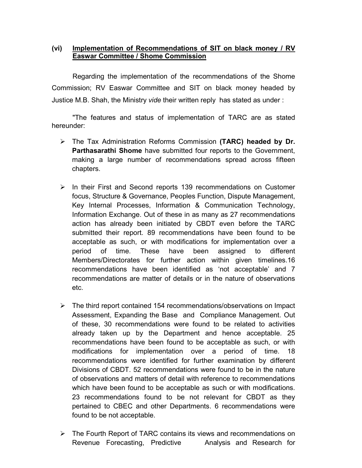### **(vi) Implementation of Recommendations of SIT on black money / RV Easwar Committee / Shome Commission**

Regarding the implementation of the recommendations of the Shome Commission; RV Easwar Committee and SIT on black money headed by Justice M.B. Shah, the Ministry *vide* their written reply has stated as under :

"The features and status of implementation of TARC are as stated hereunder:

- The Tax Administration Reforms Commission **(TARC) headed by Dr. Parthasarathi Shome** have submitted four reports to the Government, making a large number of recommendations spread across fifteen chapters.
- $\triangleright$  In their First and Second reports 139 recommendations on Customer focus, Structure & Governance, Peoples Function, Dispute Management, Key Internal Processes, Information & Communication Technology, Information Exchange. Out of these in as many as 27 recommendations action has already been initiated by CBDT even before the TARC submitted their report. 89 recommendations have been found to be acceptable as such, or with modifications for implementation over a period of time. These have been assigned to different Members/Directorates for further action within given timelines.16 recommendations have been identified as 'not acceptable' and 7 recommendations are matter of details or in the nature of observations etc.
- $\triangleright$  The third report contained 154 recommendations/observations on Impact Assessment, Expanding the Base and Compliance Management. Out of these, 30 recommendations were found to be related to activities already taken up by the Department and hence acceptable. 25 recommendations have been found to be acceptable as such, or with modifications for implementation over a period of time. 18 recommendations were identified for further examination by different Divisions of CBDT. 52 recommendations were found to be in the nature of observations and matters of detail with reference to recommendations which have been found to be acceptable as such or with modifications. 23 recommendations found to be not relevant for CBDT as they pertained to CBEC and other Departments. 6 recommendations were found to be not acceptable.
- $\triangleright$  The Fourth Report of TARC contains its views and recommendations on Revenue Forecasting, Predictive Analysis and Research for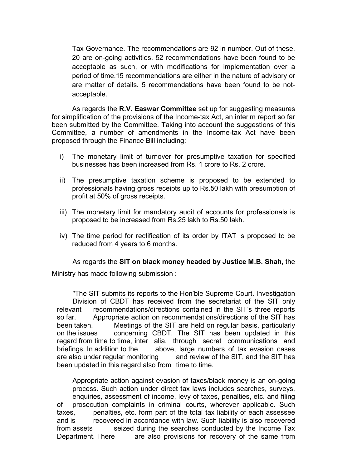Tax Governance. The recommendations are 92 in number. Out of these, 20 are on-going activities. 52 recommendations have been found to be acceptable as such, or with modifications for implementation over a period of time.15 recommendations are either in the nature of advisory or are matter of details. 5 recommendations have been found to be notacceptable.

As regards the **R.V. Easwar Committee** set up for suggesting measures for simplification of the provisions of the Income-tax Act, an interim report so far been submitted by the Committee. Taking into account the suggestions of this Committee, a number of amendments in the Income-tax Act have been proposed through the Finance Bill including:

- i) The monetary limit of turnover for presumptive taxation for specified businesses has been increased from Rs. 1 crore to Rs. 2 crore.
- ii) The presumptive taxation scheme is proposed to be extended to professionals having gross receipts up to Rs.50 lakh with presumption of profit at 50% of gross receipts.
- iii) The monetary limit for mandatory audit of accounts for professionals is proposed to be increased from Rs.25 lakh to Rs.50 lakh.
- iv) The time period for rectification of its order by ITAT is proposed to be reduced from 4 years to 6 months.

As regards the **SIT on black money headed by Justice M.B. Shah**, the Ministry has made following submission :

"The SIT submits its reports to the Hon'ble Supreme Court. Investigation Division of CBDT has received from the secretariat of the SIT only relevant recommendations/directions contained in the SIT's three reports so far. Appropriate action on recommendations/directions of the SIT has been taken. Meetings of the SIT are held on regular basis, particularly on the issues concerning CBDT. The SIT has been updated in this regard from time to time, inter alia, through secret communications and briefings. In addition to the above, large numbers of tax evasion cases are also under regular monitoring and review of the SIT, and the SIT has been updated in this regard also from time to time.

Appropriate action against evasion of taxes/black money is an on-going process. Such action under direct tax laws includes searches, surveys, enquiries, assessment of income, levy of taxes, penalties, etc. and filing of prosecution complaints in criminal courts, wherever applicable. Such taxes, penalties, etc. form part of the total tax liability of each assessee and is recovered in accordance with law. Such liability is also recovered from assets seized during the searches conducted by the Income Tax Department. There are also provisions for recovery of the same from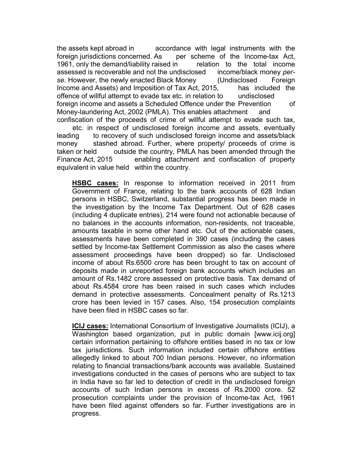the assets kept abroad in accordance with legal instruments with the foreign jurisdictions concerned. As per scheme of the Income-tax Act, 1961, only the demand/liability raised in relation to the total income assessed is recoverable and not the undisclosed income/black money *perse*. However, the newly enacted Black Money (Undisclosed Foreign Income and Assets) and Imposition of Tax Act, 2015, has included the offence of willful attempt to evade tax etc. in relation to undisclosed foreign income and assets a Scheduled Offence under the Prevention of Money-laundering Act, 2002 (PMLA). This enables attachment and confiscation of the proceeds of crime of willful attempt to evade such tax,

etc. in respect of undisclosed foreign income and assets, eventually leading to recovery of such undisclosed foreign income and assets/black money stashed abroad. Further, where property/ proceeds of crime is taken or held outside the country, PMLA has been amended through the Finance Act, 2015 enabling attachment and confiscation of property equivalent in value held within the country.

**HSBC cases:** In response to information received in 2011 from Government of France, relating to the bank accounts of 628 Indian persons in HSBC, Switzerland, substantial progress has been made in the investigation by the Income Tax Department. Out of 628 cases (including 4 duplicate entries), 214 were found not actionable because of no balances in the accounts information, non-residents, not traceable, amounts taxable in some other hand etc. Out of the actionable cases, assessments have been completed in 390 cases (including the cases settled by Income-tax Settlement Commission as also the cases where assessment proceedings have been dropped) so far. Undisclosed income of about Rs.6500 crore has been brought to tax on account of deposits made in unreported foreign bank accounts which includes an amount of Rs.1482 crore assessed on protective basis. Tax demand of about Rs.4584 crore has been raised in such cases which includes demand in protective assessments. Concealment penalty of Rs.1213 crore has been levied in 157 cases. Also, 154 prosecution complaints have been filed in HSBC cases so far.

**ICIJ cases:** International Consortium of Investigative Journalists (ICIJ), a Washington based organization, put in public domain [www.icij.org] certain information pertaining to offshore entities based in no tax or low tax jurisdictions. Such information included certain offshore entities allegedly linked to about 700 Indian persons. However, no information relating to financial transactions/bank accounts was available. Sustained investigations conducted in the cases of persons who are subject to tax in India have so far led to detection of credit in the undisclosed foreign accounts of such Indian persons in excess of Rs.2000 crore. 52 prosecution complaints under the provision of Income-tax Act, 1961 have been filed against offenders so far. Further investigations are in progress.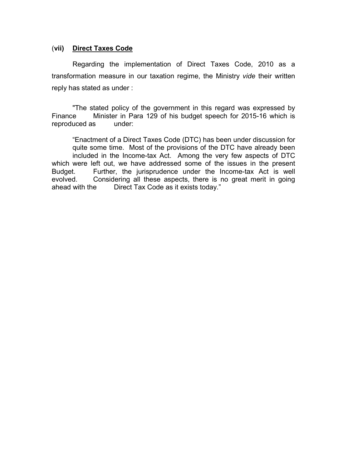#### (**vii) Direct Taxes Code**

Regarding the implementation of Direct Taxes Code, 2010 as a transformation measure in our taxation regime, the Ministry *vide* their written reply has stated as under :

"The stated policy of the government in this regard was expressed by Finance Minister in Para 129 of his budget speech for 2015-16 which is reproduced as under:

"Enactment of a Direct Taxes Code (DTC) has been under discussion for quite some time. Most of the provisions of the DTC have already been included in the Income-tax Act. Among the very few aspects of DTC which were left out, we have addressed some of the issues in the present Budget. Further, the jurisprudence under the Income-tax Act is well evolved. Considering all these aspects, there is no great merit in going ahead with the Direct Tax Code as it exists today."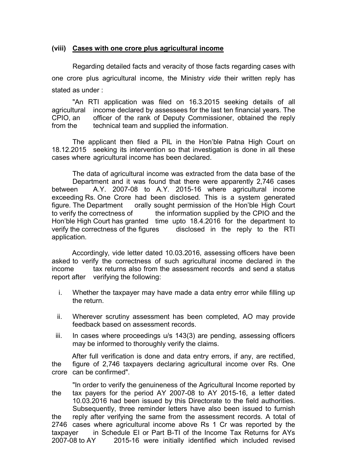#### **(viii) Cases with one crore plus agricultural income**

Regarding detailed facts and veracity of those facts regarding cases with one crore plus agricultural income, the Ministry *vide* their written reply has stated as under :

"An RTI application was filed on 16.3.2015 seeking details of all agricultural income declared by assessees for the last ten financial years. The CPIO, an officer of the rank of Deputy Commissioner, obtained the reply from the technical team and supplied the information.

The applicant then filed a PIL in the Hon'ble Patna High Court on 18.12.2015 seeking its intervention so that investigation is done in all these cases where agricultural income has been declared.

The data of agricultural income was extracted from the data base of the Department and it was found that there were apparently 2,746 cases between A.Y. 2007-08 to A.Y. 2015-16 where agricultural income exceeding Rs. One Crore had been disclosed. This is a system generated figure. The Department orally sought permission of the Hon'ble High Court to verify the correctness of the information supplied by the CPIO and the Hon'ble High Court has granted time upto 18.4.2016 for the department to verify the correctness of the figures disclosed in the reply to the RTI application.

Accordingly, vide letter dated 10.03.2016, assessing officers have been asked to verify the correctness of such agricultural income declared in the income tax returns also from the assessment records and send a status report after verifying the following:

- i. Whether the taxpayer may have made a data entry error while filling up the return.
- ii. Wherever scrutiny assessment has been completed, AO may provide feedback based on assessment records.
- iii. In cases where proceedings u/s 143(3) are pending, assessing officers may be informed to thoroughly verify the claims.

After full verification is done and data entry errors, if any, are rectified, the figure of 2,746 taxpayers declaring agricultural income over Rs. One crore can be confirmed".

"In order to verify the genuineness of the Agricultural Income reported by the tax payers for the period AY 2007-08 to AY 2015-16, a letter dated 10.03.2016 had been issued by this Directorate to the field authorities. Subsequently, three reminder letters have also been issued to furnish the reply after verifying the same from the assessment records. A total of 2746 cases where agricultural income above Rs 1 Cr was reported by the taxpayer in Schedule EI or Part B-TI of the Income Tax Returns for AYs 2007-08 to AY 2015-16 were initially identified which included revised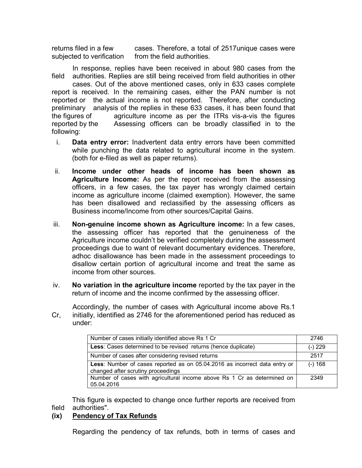returns filed in a few cases. Therefore, a total of 2517unique cases were subjected to verification from the field authorities.

In response, replies have been received in about 980 cases from the field authorities. Replies are still being received from field authorities in other cases. Out of the above mentioned cases, only in 633 cases complete report is received. In the remaining cases, either the PAN number is not reported or the actual income is not reported. Therefore, after conducting preliminary analysis of the replies in these 633 cases, it has been found that the figures of agriculture income as per the ITRs vis-a-vis the figures reported by the Assessing officers can be broadly classified in to the following:

- i. **Data entry error:** Inadvertent data entry errors have been committed while punching the data related to agricultural income in the system. (both for e-filed as well as paper returns).
- ii. **Income under other heads of income has been shown as Agriculture Income:** As per the report received from the assessing officers, in a few cases, the tax payer has wrongly claimed certain income as agriculture income (claimed exemption). However, the same has been disallowed and reclassified by the assessing officers as Business income/Income from other sources/Capital Gains.
- iii. **Non-genuine income shown as Agriculture income:** In a few cases, the assessing officer has reported that the genuineness of the Agriculture income couldn't be verified completely during the assessment proceedings due to want of relevant documentary evidences. Therefore, adhoc disallowance has been made in the assessment proceedings to disallow certain portion of agricultural income and treat the same as income from other sources.
- iv. **No variation in the agriculture income** reported by the tax payer in the return of income and the income confirmed by the assessing officer.

Accordingly, the number of cases with Agricultural income above Rs.1 Cr, initially, identified as 2746 for the aforementioned period has reduced as under:

| Number of cases initially identified above Rs 1 Cr                         | 2746      |
|----------------------------------------------------------------------------|-----------|
| Less: Cases determined to be revised returns (hence duplicate)             | $(-) 229$ |
| Number of cases after considering revised returns                          | 2517      |
| Less: Number of cases reported as on 05.04.2016 as incorrect data entry or | $(-) 168$ |
| changed after scrutiny proceedings                                         |           |
| Number of cases with agricultural income above Rs 1 Cr as determined on    | 2349      |
| 05.04.2016                                                                 |           |

This figure is expected to change once further reports are received from field authorities".

### **(ix) Pendency of Tax Refunds**

Regarding the pendency of tax refunds, both in terms of cases and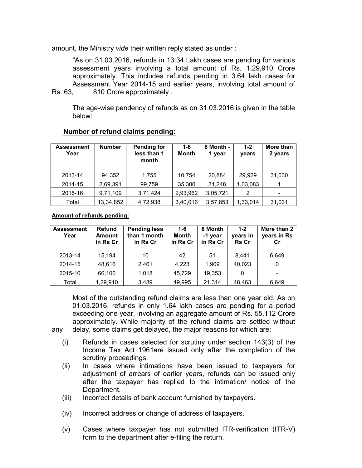amount, the Ministry *vide* their written reply stated as under :

"As on 31.03.2016, refunds in 13.34 Lakh cases are pending for various assessment years involving a total amount of Rs. 1,29,910 Crore approximately. This includes refunds pending in 3.64 lakh cases for Assessment Year 2014-15 and earlier years, involving total amount of Rs. 63, 810 Crore approximately.

The age-wise pendency of refunds as on 31.03.2016 is given in the table below:

| <b>Assessment</b><br>Year | <b>Number</b> | <b>Pending for</b><br>less than 1<br>month | $1 - 6$<br>Month | 6 Month -<br>1 year | $1 - 2$<br>years | More than<br>2 years |
|---------------------------|---------------|--------------------------------------------|------------------|---------------------|------------------|----------------------|
| 2013-14                   | 94,352        | 1,755                                      | 10,754           | 20,884              | 29,929           | 31,030               |
| 2014-15                   | 2,69,391      | 99,759                                     | 35,300           | 31,248              | 1,03,083         |                      |
| 2015-16                   | 9,71,109      | 3,71,424                                   | 2,93,962         | 3,05,721            | 2                | -                    |
| Total                     | 13,34,852     | 4,72,938                                   | 3,40,016         | 3,57,853            | 1,33,014         | 31,031               |

#### **Number of refund claims pending:**

**Amount of refunds pending:**

| <b>Assessment</b><br>Year | <b>Refund</b><br><b>Amount</b><br>in Rs Cr | <b>Pending less</b><br>than 1 month<br>in Rs Cr | $1 - 6$<br><b>Month</b><br>in Rs Cr | 6 Month<br>-1 year<br>in Rs Cr | $1 - 2$<br>years in<br><b>Rs Cr</b> | More than 2<br>years in Rs<br>Cr |
|---------------------------|--------------------------------------------|-------------------------------------------------|-------------------------------------|--------------------------------|-------------------------------------|----------------------------------|
| 2013-14                   | 15,194                                     | 10                                              | 42                                  | 51                             | 8.441                               | 6,649                            |
| 2014-15                   | 48,616                                     | 2,461                                           | 4.223                               | 1,909                          | 40,023                              | 0                                |
| 2015-16                   | 66,100                                     | 1,018                                           | 45,729                              | 19,353                         | 0                                   | ٠                                |
| Total                     | 1,29,910                                   | 3,489                                           | 49,995                              | 21,314                         | 48,463                              | 6,649                            |

Most of the outstanding refund claims are less than one year old. As on 01.03.2016, refunds in only 1.64 lakh cases are pending for a period exceeding one year, involving an aggregate amount of Rs. 55,112 Crore approximately. While majority of the refund claims are settled without any delay, some claims get delayed, the major reasons for which are:

- (i) Refunds in cases selected for scrutiny under section 143(3) of the Income Tax Act 1961are issued only after the completion of the scrutiny proceedings.
- (ii) In cases where intimations have been issued to taxpayers for adjustment of arrears of earlier years, refunds can be issued only after the taxpayer has replied to the intimation/ notice of the Department.
- (iii) Incorrect details of bank account furnished by taxpayers.
- (iv) Incorrect address or change of address of taxpayers.
- (v) Cases where taxpayer has not submitted ITR-verification (ITR-V) form to the department after e-filing the return.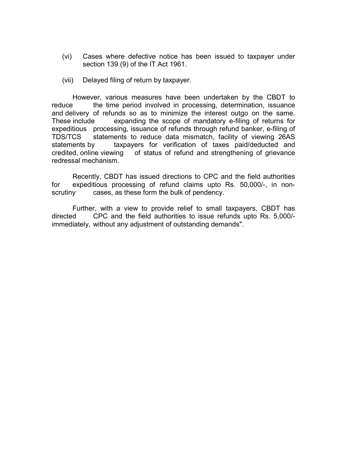- (vi) Cases where defective notice has been issued to taxpayer under section 139 (9) of the IT Act 1961.
- (vii) Delayed filing of return by taxpayer.

However, various measures have been undertaken by the CBDT to reduce the time period involved in processing, determination, issuance and delivery of refunds so as to minimize the interest outgo on the same. These include expanding the scope of mandatory e-filing of returns for expeditious processing, issuance of refunds through refund banker, e-filing of TDS/TCS statements to reduce data mismatch, facility of viewing 26AS statements by taxpayers for verification of taxes paid/deducted and credited, online viewing of status of refund and strengthening of grievance redressal mechanism.

Recently, CBDT has issued directions to CPC and the field authorities for expeditious processing of refund claims upto Rs. 50,000/-, in nonscrutiny cases, as these form the bulk of pendency.

Further, with a view to provide relief to small taxpayers, CBDT has directed CPC and the field authorities to issue refunds upto Rs. 5,000/ immediately, without any adjustment of outstanding demands".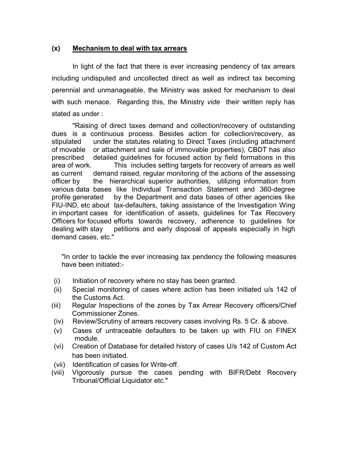### **(x) Mechanism to deal with tax arrears**

In light of the fact that there is ever increasing pendency of tax arrears including undisputed and uncollected direct as well as indirect tax becoming perennial and unmanageable, the Ministry was asked for mechanism to deal with such menace. Regarding this, the Ministry *vide* their written reply has stated as under :

"Raising of direct taxes demand and collection/recovery of outstanding dues is a continuous process. Besides action for collection/recovery, as stipulated under the statutes relating to Direct Taxes (including attachment of movable or attachment and sale of immovable properties), CBDT has also prescribed detailed guidelines for focused action by field formations in this area of work. This includes setting targets for recovery of arrears as well as current demand raised, regular monitoring of the actions of the assessing officer by the hierarchical superior authorities, utilizing information from various data bases like Individual Transaction Statement and 360-degree profile generated by the Department and data bases of other agencies like FIU-IND, etc about tax-defaulters, taking assistance of the Investigation Wing in important cases for identification of assets, guidelines for Tax Recovery Officers for focused efforts towards recovery, adherence to guidelines for dealing with stay petitions and early disposal of appeals especially in high demand cases, etc."

"In order to tackle the ever increasing tax pendency the following measures have been initiated:-

- (i) Initiation of recovery where no stay has been granted.
- (ii) Special monitoring of cases where action has been initiated u/s 142 of the Customs Act.
- (iii) Regular Inspections of the zones by Tax Arrear Recovery officers/Chief Commissioner Zones.
- (iv) Review/Scrutiny of arrears recovery cases involving Rs. 5 Cr. & above.
- (v) Cases of untraceable defaulters to be taken up with FIU on FINEX module.
- (vi) Creation of Database for detailed history of cases U/s 142 of Custom Act has been initiated.
- (vii) Identification of cases for Write-off.
- (viii) Vigorously pursue the cases pending with BIFR/Debt Recovery Tribunal/Official Liquidator etc."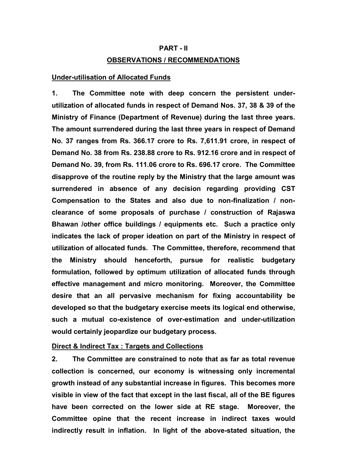# **PART - II OBSERVATIONS / RECOMMENDATIONS**

#### **Under-utilisation of Allocated Funds**

**1. The Committee note with deep concern the persistent underutilization of allocated funds in respect of Demand Nos. 37, 38 & 39 of the Ministry of Finance (Department of Revenue) during the last three years. The amount surrendered during the last three years in respect of Demand No. 37 ranges from Rs. 366.17 crore to Rs. 7,611.91 crore, in respect of Demand No. 38 from Rs. 238.88 crore to Rs. 912.16 crore and in respect of Demand No. 39, from Rs. 111.06 crore to Rs. 696.17 crore. The Committee disapprove of the routine reply by the Ministry that the large amount was surrendered in absence of any decision regarding providing CST Compensation to the States and also due to non-finalization / nonclearance of some proposals of purchase / construction of Rajaswa Bhawan /other office buildings / equipments etc. Such a practice only indicates the lack of proper ideation on part of the Ministry in respect of utilization of allocated funds. The Committee, therefore, recommend that the Ministry should henceforth, pursue for realistic budgetary formulation, followed by optimum utilization of allocated funds through effective management and micro monitoring. Moreover, the Committee desire that an all pervasive mechanism for fixing accountability be developed so that the budgetary exercise meets its logical end otherwise, such a mutual co-existence of over-estimation and under-utilization would certainly jeopardize our budgetary process.**

#### **Direct & Indirect Tax : Targets and Collections**

**2. The Committee are constrained to note that as far as total revenue collection is concerned, our economy is witnessing only incremental growth instead of any substantial increase in figures. This becomes more visible in view of the fact that except in the last fiscal, all of the BE figures have been corrected on the lower side at RE stage. Moreover, the Committee opine that the recent increase in indirect taxes would indirectly result in inflation. In light of the above-stated situation, the**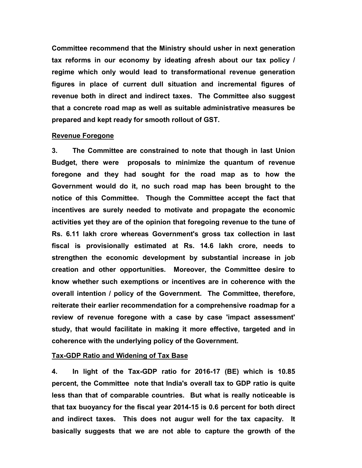**Committee recommend that the Ministry should usher in next generation tax reforms in our economy by ideating afresh about our tax policy / regime which only would lead to transformational revenue generation figures in place of current dull situation and incremental figures of revenue both in direct and indirect taxes. The Committee also suggest that a concrete road map as well as suitable administrative measures be prepared and kept ready for smooth rollout of GST.** 

#### **Revenue Foregone**

**3. The Committee are constrained to note that though in last Union Budget, there were proposals to minimize the quantum of revenue foregone and they had sought for the road map as to how the Government would do it, no such road map has been brought to the notice of this Committee. Though the Committee accept the fact that incentives are surely needed to motivate and propagate the economic activities yet they are of the opinion that foregoing revenue to the tune of Rs. 6.11 lakh crore whereas Government's gross tax collection in last fiscal is provisionally estimated at Rs. 14.6 lakh crore, needs to strengthen the economic development by substantial increase in job creation and other opportunities. Moreover, the Committee desire to know whether such exemptions or incentives are in coherence with the overall intention / policy of the Government. The Committee, therefore, reiterate their earlier recommendation for a comprehensive roadmap for a review of revenue foregone with a case by case 'impact assessment' study, that would facilitate in making it more effective, targeted and in coherence with the underlying policy of the Government.**

#### **Tax-GDP Ratio and Widening of Tax Base**

**4. In light of the Tax-GDP ratio for 2016-17 (BE) which is 10.85 percent, the Committee note that India's overall tax to GDP ratio is quite less than that of comparable countries. But what is really noticeable is that tax buoyancy for the fiscal year 2014-15 is 0.6 percent for both direct and indirect taxes. This does not augur well for the tax capacity. It basically suggests that we are not able to capture the growth of the**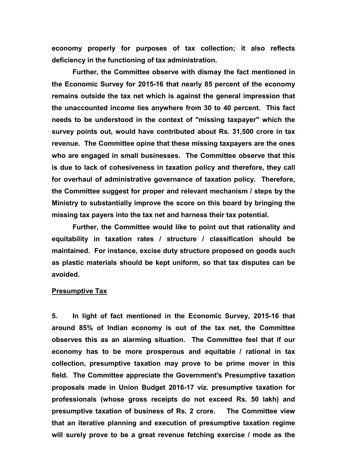**economy properly for purposes of tax collection; it also reflects deficiency in the functioning of tax administration.** 

**Further, the Committee observe with dismay the fact mentioned in the Economic Survey for 2015-16 that nearly 85 percent of the economy remains outside the tax net which is against the general impression that the unaccounted income lies anywhere from 30 to 40 percent. This fact needs to be understood in the context of "missing taxpayer" which the survey points out, would have contributed about Rs. 31,500 crore in tax revenue. The Committee opine that these missing taxpayers are the ones who are engaged in small businesses. The Committee observe that this is due to lack of cohesiveness in taxation policy and therefore, they call for overhaul of administrative governance of taxation policy. Therefore, the Committee suggest for proper and relevant mechanism / steps by the Ministry to substantially improve the score on this board by bringing the missing tax payers into the tax net and harness their tax potential.**

**Further, the Committee would like to point out that rationality and equitability in taxation rates / structure / classification should be maintained. For instance, excise duty structure proposed on goods such as plastic materials should be kept uniform, so that tax disputes can be avoided.** 

#### **Presumptive Tax**

**5. In light of fact mentioned in the Economic Survey, 2015-16 that around 85% of Indian economy is out of the tax net, the Committee observes this as an alarming situation. The Committee feel that if our economy has to be more prosperous and equitable / rational in tax collection, presumptive taxation may prove to be prime mover in this field. The Committee appreciate the Government's Presumptive taxation proposals made in Union Budget 2016-17 viz. presumptive taxation for professionals (whose gross receipts do not exceed Rs. 50 lakh) and presumptive taxation of business of Rs. 2 crore. The Committee view that an iterative planning and execution of presumptive taxation regime will surely prove to be a great revenue fetching exercise / mode as the**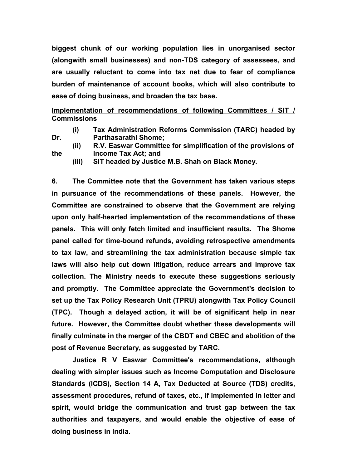**biggest chunk of our working population lies in unorganised sector (alongwith small businesses) and non-TDS category of assessees, and are usually reluctant to come into tax net due to fear of compliance burden of maintenance of account books, which will also contribute to ease of doing business, and broaden the tax base.**

### **Implementation of recommendations of following Committees / SIT / Commissions**

- **(i) Tax Administration Reforms Commission (TARC) headed by Dr. Parthasarathi Shome;**
- **(ii) R.V. Easwar Committee for simplification of the provisions of the Income Tax Act; and** 
	- **(iii) SIT headed by Justice M.B. Shah on Black Money.**

**6. The Committee note that the Government has taken various steps in pursuance of the recommendations of these panels. However, the Committee are constrained to observe that the Government are relying upon only half-hearted implementation of the recommendations of these panels. This will only fetch limited and insufficient results. The Shome panel called for time-bound refunds, avoiding retrospective amendments to tax law, and streamlining the tax administration because simple tax laws will also help cut down litigation, reduce arrears and improve tax collection. The Ministry needs to execute these suggestions seriously and promptly. The Committee appreciate the Government's decision to set up the Tax Policy Research Unit (TPRU) alongwith Tax Policy Council (TPC). Though a delayed action, it will be of significant help in near future. However, the Committee doubt whether these developments will finally culminate in the merger of the CBDT and CBEC and abolition of the post of Revenue Secretary, as suggested by TARC.**

**Justice R V Easwar Committee's recommendations, although dealing with simpler issues such as Income Computation and Disclosure Standards (ICDS), Section 14 A, Tax Deducted at Source (TDS) credits, assessment procedures, refund of taxes, etc., if implemented in letter and spirit, would bridge the communication and trust gap between the tax authorities and taxpayers, and would enable the objective of ease of doing business in India.**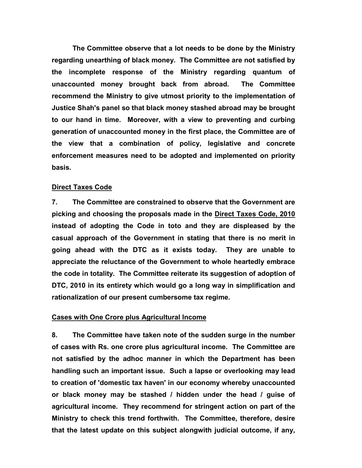**The Committee observe that a lot needs to be done by the Ministry regarding unearthing of black money. The Committee are not satisfied by the incomplete response of the Ministry regarding quantum of unaccounted money brought back from abroad. The Committee recommend the Ministry to give utmost priority to the implementation of Justice Shah's panel so that black money stashed abroad may be brought to our hand in time. Moreover, with a view to preventing and curbing generation of unaccounted money in the first place, the Committee are of the view that a combination of policy, legislative and concrete enforcement measures need to be adopted and implemented on priority basis.**

#### **Direct Taxes Code**

**7. The Committee are constrained to observe that the Government are picking and choosing the proposals made in the Direct Taxes Code, 2010 instead of adopting the Code in toto and they are displeased by the casual approach of the Government in stating that there is no merit in going ahead with the DTC as it exists today. They are unable to appreciate the reluctance of the Government to whole heartedly embrace the code in totality. The Committee reiterate its suggestion of adoption of DTC, 2010 in its entirety which would go a long way in simplification and rationalization of our present cumbersome tax regime.**

#### **Cases with One Crore plus Agricultural Income**

**8. The Committee have taken note of the sudden surge in the number of cases with Rs. one crore plus agricultural income. The Committee are not satisfied by the adhoc manner in which the Department has been handling such an important issue. Such a lapse or overlooking may lead to creation of 'domestic tax haven' in our economy whereby unaccounted or black money may be stashed / hidden under the head / guise of agricultural income. They recommend for stringent action on part of the Ministry to check this trend forthwith. The Committee, therefore, desire that the latest update on this subject alongwith judicial outcome, if any,**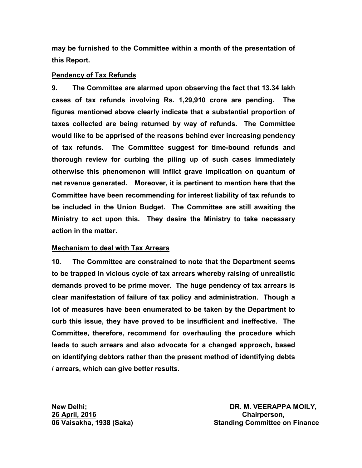**may be furnished to the Committee within a month of the presentation of this Report.**

#### **Pendency of Tax Refunds**

**9. The Committee are alarmed upon observing the fact that 13.34 lakh cases of tax refunds involving Rs. 1,29,910 crore are pending. The figures mentioned above clearly indicate that a substantial proportion of taxes collected are being returned by way of refunds. The Committee would like to be apprised of the reasons behind ever increasing pendency of tax refunds. The Committee suggest for time-bound refunds and thorough review for curbing the piling up of such cases immediately otherwise this phenomenon will inflict grave implication on quantum of net revenue generated. Moreover, it is pertinent to mention here that the Committee have been recommending for interest liability of tax refunds to be included in the Union Budget. The Committee are still awaiting the Ministry to act upon this. They desire the Ministry to take necessary action in the matter.** 

#### **Mechanism to deal with Tax Arrears**

**10. The Committee are constrained to note that the Department seems to be trapped in vicious cycle of tax arrears whereby raising of unrealistic demands proved to be prime mover. The huge pendency of tax arrears is clear manifestation of failure of tax policy and administration. Though a lot of measures have been enumerated to be taken by the Department to curb this issue, they have proved to be insufficient and ineffective. The Committee, therefore, recommend for overhauling the procedure which leads to such arrears and also advocate for a changed approach, based on identifying debtors rather than the present method of identifying debts / arrears, which can give better results.**

**26 April, 2016 Chairperson,**

**New Delhi; DR. M. VEERAPPA MOILY,**  06 Vaisakha, 1938 (Saka) **Standing Committee on Finance**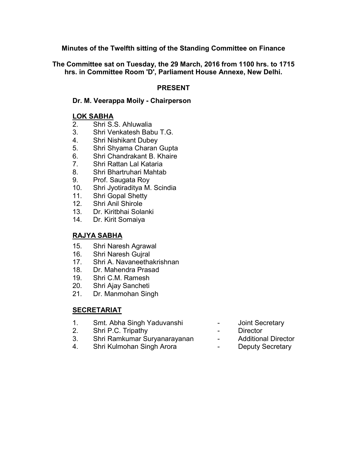**Minutes of the Twelfth sitting of the Standing Committee on Finance** 

**The Committee sat on Tuesday, the 29 March, 2016 from 1100 hrs. to 1715 hrs. in Committee Room 'D', Parliament House Annexe, New Delhi.**

### **PRESENT**

### **Dr. M. Veerappa Moily - Chairperson**

### **LOK SABHA**

- 2. Shri S.S. Ahluwalia
- 3. Shri Venkatesh Babu T.G.
- 4. Shri Nishikant Dubey
- 5. Shri Shyama Charan Gupta
- 6. Shri Chandrakant B. Khaire
- 7. Shri Rattan Lal Kataria
- 8. Shri Bhartruhari Mahtab
- 9. Prof. Saugata Roy
- 10. Shri Jyotiraditya M. Scindia
- 11. Shri Gopal Shetty
- 12. Shri Anil Shirole
- 13. Dr. Kiritbhai Solanki
- 14. Dr. Kirit Somaiya

### **RAJYA SABHA**

- 15. Shri Naresh Agrawal
- 16. Shri Naresh Gujral
- 17. Shri A. Navaneethakrishnan
- 18. Dr. Mahendra Prasad
- 19. Shri C.M. Ramesh
- 20. Shri Ajay Sancheti
- 21. Dr. Manmohan Singh

### **SECRETARIAT**

- 1. Smt. Abha Singh Yaduvanshi Joint Secretary
- 2. Shri P.C. Tripathy **Canadian Contract Contract Contract Contract Contract Contract Contract Contract Contract Contract Contract Contract Contract Contract Contract Contract Contract Contract Contract Contract Contract C**
- 3. Shri Ramkumar Suryanarayanan Additional Director<br>4. Shri Kulmohan Singh Arora Deputy Secretary
- 4. Shri Kulmohan Singh Arora  **Charlach Charlach Deputy Secretary**
- 
- 
- 
-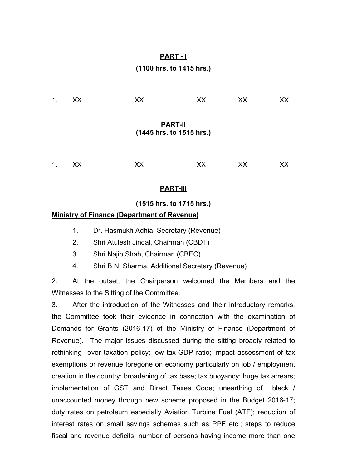## **PART - I**

### **(1100 hrs. to 1415 hrs.)**

| $\mathbf{1}$ .                             | XX | XX | XX | XX | XX |  |  |
|--------------------------------------------|----|----|----|----|----|--|--|
| <b>PART-II</b><br>(1445 hrs. to 1515 hrs.) |    |    |    |    |    |  |  |
| $\mathbf 1$ .                              | XX | ХX | XX | XX | XХ |  |  |

#### **PART-III**

#### **(1515 hrs. to 1715 hrs.)**

#### **Ministry of Finance (Department of Revenue)**

- 1. Dr. Hasmukh Adhia, Secretary (Revenue)
- 2. Shri Atulesh Jindal, Chairman (CBDT)
- 3. Shri Najib Shah, Chairman (CBEC)
- 4. Shri B.N. Sharma, Additional Secretary (Revenue)

2. At the outset, the Chairperson welcomed the Members and the Witnesses to the Sitting of the Committee.

3. After the introduction of the Witnesses and their introductory remarks, the Committee took their evidence in connection with the examination of Demands for Grants (2016-17) of the Ministry of Finance (Department of Revenue). The major issues discussed during the sitting broadly related to rethinking over taxation policy; low tax-GDP ratio; impact assessment of tax exemptions or revenue foregone on economy particularly on job / employment creation in the country; broadening of tax base; tax buoyancy; huge tax arrears; implementation of GST and Direct Taxes Code; unearthing of black / unaccounted money through new scheme proposed in the Budget 2016-17; duty rates on petroleum especially Aviation Turbine Fuel (ATF); reduction of interest rates on small savings schemes such as PPF etc.; steps to reduce fiscal and revenue deficits; number of persons having income more than one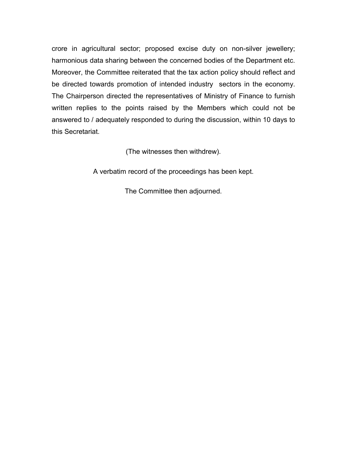crore in agricultural sector; proposed excise duty on non-silver jewellery; harmonious data sharing between the concerned bodies of the Department etc. Moreover, the Committee reiterated that the tax action policy should reflect and be directed towards promotion of intended industry sectors in the economy. The Chairperson directed the representatives of Ministry of Finance to furnish written replies to the points raised by the Members which could not be answered to / adequately responded to during the discussion, within 10 days to this Secretariat.

(The witnesses then withdrew).

A verbatim record of the proceedings has been kept.

The Committee then adjourned.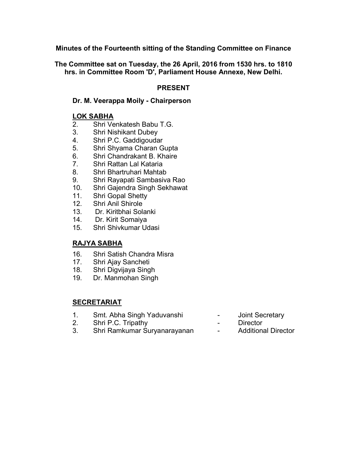**Minutes of the Fourteenth sitting of the Standing Committee on Finance** 

**The Committee sat on Tuesday, the 26 April, 2016 from 1530 hrs. to 1810 hrs. in Committee Room 'D', Parliament House Annexe, New Delhi.**

### **PRESENT**

### **Dr. M. Veerappa Moily - Chairperson**

### **LOK SABHA**

- 2. Shri Venkatesh Babu T.G.
- 3. Shri Nishikant Dubey
- 4. Shri P.C. Gaddigoudar
- 5. Shri Shyama Charan Gupta
- 6. Shri Chandrakant B. Khaire
- 7. Shri Rattan Lal Kataria
- 8. Shri Bhartruhari Mahtab
- 9. Shri Rayapati Sambasiva Rao
- 10. Shri Gajendra Singh Sekhawat
- 11. Shri Gopal Shetty
- 12. Shri Anil Shirole
- 13. Dr. Kiritbhai Solanki
- 14. Dr. Kirit Somaiya
- 15. Shri Shivkumar Udasi

### **RAJYA SABHA**

- 16. Shri Satish Chandra Misra
- 17. Shri Ajay Sancheti
- 18. Shri Digvijaya Singh
- 19. Dr. Manmohan Singh

### **SECRETARIAT**

- 1. Smt. Abha Singh Yaduvanshi Joint Secretary
- 2. Shri P.C. Tripathy  **Director**
- 3. Shri Ramkumar Suryanarayanan Additional Director
- 
- -